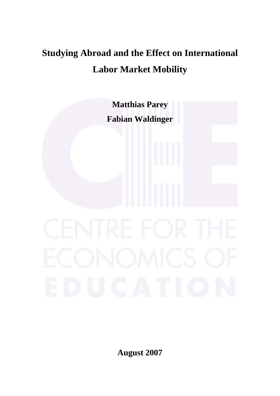# **Studying Abroad and the Effect on International Labor Market Mobility**



**August 2007**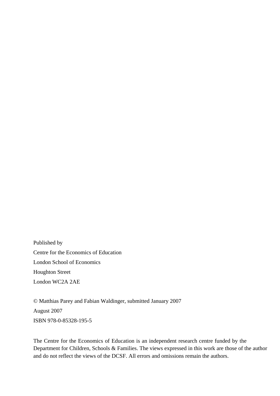Published by Centre for the Economics of Education London School of Economics Houghton Street London WC2A 2AE

© Matthias Parey and Fabian Waldinger, submitted January 2007 August 2007 ISBN 978-0-85328-195-5

The Centre for the Economics of Education is an independent research centre funded by the Department for Children, Schools & Families. The views expressed in this work are those of the author and do not reflect the views of the DCSF. All errors and omissions remain the authors.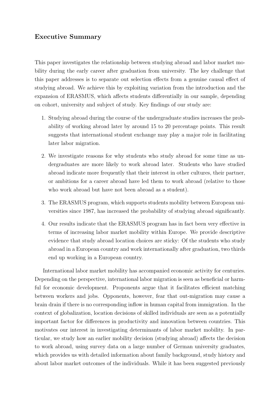#### Executive Summary

This paper investigates the relationship between studying abroad and labor market mobility during the early career after graduation from university. The key challenge that this paper addresses is to separate out selection effects from a genuine causal effect of studying abroad. We achieve this by exploiting variation from the introduction and the expansion of ERASMUS, which affects students differentially in our sample, depending on cohort, university and subject of study. Key findings of our study are:

- 1. Studying abroad during the course of the undergraduate studies increases the probability of working abroad later by around 15 to 20 percentage points. This result suggests that international student exchange may play a major role in facilitating later labor migration.
- 2. We investigate reasons for why students who study abroad for some time as undergraduates are more likely to work abroad later. Students who have studied abroad indicate more frequently that their interest in other cultures, their partner, or ambitions for a career abroad have led them to work abroad (relative to those who work abroad but have not been abroad as a student).
- 3. The ERASMUS program, which supports students mobility between European universities since 1987, has increased the probability of studying abroad significantly.
- 4. Our results indicate that the ERASMUS program has in fact been very effective in terms of increasing labor market mobility within Europe. We provide descriptive evidence that study abroad location choices are sticky: Of the students who study abroad in a European country and work internationally after graduation, two thirds end up working in a European country.

International labor market mobility has accompanied economic activity for centuries. Depending on the perspective, international labor migration is seen as beneficial or harmful for economic development. Proponents argue that it facilitates efficient matching between workers and jobs. Opponents, however, fear that out-migration may cause a brain drain if there is no corresponding inflow in human capital from immigration. In the context of globalization, location decisions of skilled individuals are seen as a potentially important factor for differences in productivity and innovation between countries. This motivates our interest in investigating determinants of labor market mobility. In particular, we study how an earlier mobility decision (studying abroad) affects the decision to work abroad, using survey data on a large number of German university graduates, which provides us with detailed information about family background, study history and about labor market outcomes of the individuals. While it has been suggested previously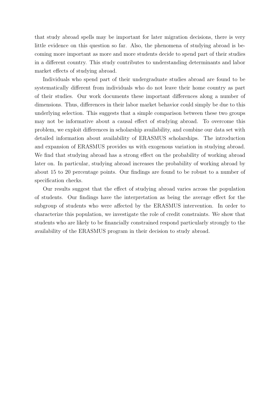that study abroad spells may be important for later migration decisions, there is very little evidence on this question so far. Also, the phenomena of studying abroad is becoming more important as more and more students decide to spend part of their studies in a different country. This study contributes to understanding determinants and labor market effects of studying abroad.

Individuals who spend part of their undergraduate studies abroad are found to be systematically different from individuals who do not leave their home country as part of their studies. Our work documents these important differences along a number of dimensions. Thus, differences in their labor market behavior could simply be due to this underlying selection. This suggests that a simple comparison between these two groups may not be informative about a causal effect of studying abroad. To overcome this problem, we exploit differences in scholarship availability, and combine our data set with detailed information about availability of ERASMUS scholarships. The introduction and expansion of ERASMUS provides us with exogenous variation in studying abroad. We find that studying abroad has a strong effect on the probability of working abroad later on. In particular, studying abroad increases the probability of working abroad by about 15 to 20 percentage points. Our findings are found to be robust to a number of specification checks.

Our results suggest that the effect of studying abroad varies across the population of students. Our findings have the interpretation as being the average effect for the subgroup of students who were affected by the ERASMUS intervention. In order to characterize this population, we investigate the role of credit constraints. We show that students who are likely to be financially constrained respond particularly strongly to the availability of the ERASMUS program in their decision to study abroad.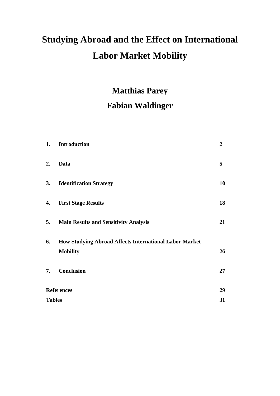# **Studying Abroad and the Effect on International Labor Market Mobility**

# **Matthias Parey Fabian Waldinger**

| 1. | Introduction                                                  | $\boldsymbol{2}$ |
|----|---------------------------------------------------------------|------------------|
| 2. | Data                                                          | 5                |
| 3. | <b>Identification Strategy</b>                                | 10               |
| 4. | <b>First Stage Results</b>                                    | 18               |
| 5. | <b>Main Results and Sensitivity Analysis</b>                  | 21               |
| 6. | <b>How Studying Abroad Affects International Labor Market</b> |                  |
|    | <b>Mobility</b>                                               | 26               |
| 7. | <b>Conclusion</b>                                             | 27               |
|    | <b>References</b>                                             | 29               |
|    | <b>Tables</b>                                                 | 31               |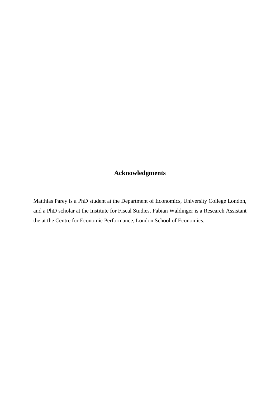## **Acknowledgments**

Matthias Parey is a PhD student at the Department of Economics, University College London, and a PhD scholar at the Institute for Fiscal Studies. Fabian Waldinger is a Research Assistant the at the Centre for Economic Performance, London School of Economics.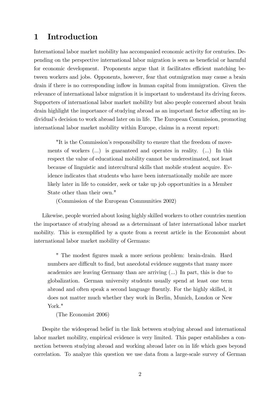## 1 Introduction

International labor market mobility has accompanied economic activity for centuries. Depending on the perspective international labor migration is seen as beneficial or harmful for economic development. Proponents argue that it facilitates efficient matching between workers and jobs. Opponents, however, fear that outmigration may cause a brain drain if there is no corresponding inflow in human capital from immigration. Given the relevance of international labor migration it is important to understand its driving forces. Supporters of international labor market mobility but also people concerned about brain drain highlight the importance of studying abroad as an important factor affecting an individual's decision to work abroad later on in life. The European Commission, promoting international labor market mobility within Europe, claims in a recent report:

"It is the Commission's responsibility to ensure that the freedom of movements of workers (...) is guaranteed and operates in reality. (...) In this respect the value of educational mobility cannot be underestimated, not least because of linguistic and intercultural skills that mobile student acquire. Evidence indicates that students who have been internationally mobile are more likely later in life to consider, seek or take up job opportunities in a Member State other than their own."

(Commission of the European Communities 2002)

Likewise, people worried about losing highly skilled workers to other countries mention the importance of studying abroad as a determinant of later international labor market mobility. This is exemplified by a quote from a recent article in the Economist about international labor market mobility of Germans:

" The modest Ögures mask a more serious problem: brain-drain. Hard numbers are difficult to find, but anecdotal evidence suggests that many more academics are leaving Germany than are arriving (...) In part, this is due to globalization. German university students usually spend at least one term abroad and often speak a second language fluently. For the highly skilled, it does not matter much whether they work in Berlin, Munich, London or New York."

(The Economist 2006)

Despite the widespread belief in the link between studying abroad and international labor market mobility, empirical evidence is very limited. This paper establishes a connection between studying abroad and working abroad later on in life which goes beyond correlation. To analyze this question we use data from a large-scale survey of German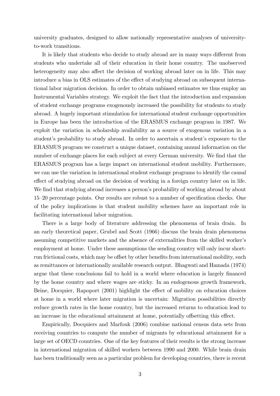university graduates, designed to allow nationally representative analyses of universityto-work transitions.

It is likely that students who decide to study abroad are in many ways different from students who undertake all of their education in their home country. The unobserved heterogeneity may also affect the decision of working abroad later on in life. This may introduce a bias in OLS estimates of the effect of studying abroad on subsequent international labor migration decision. In order to obtain unbiased estimates we thus employ an Instrumental Variables strategy. We exploit the fact that the introduction and expansion of student exchange programs exogenously increased the possibility for students to study abroad. A hugely important stimulation for international student exchange opportunities in Europe has been the introduction of the ERASMUS exchange program in 1987. We exploit the variation in scholarship availability as a source of exogenous variation in a student's probability to study abroad. In order to ascertain a student's exposure to the ERASMUS program we construct a unique dataset, containing annual information on the number of exchange places for each subject at every German university. We find that the ERASMUS program has a large impact on international student mobility. Furthermore, we can use the variation in international student exchange programs to identify the causal effect of studying abroad on the decision of working in a foreign country later on in life. We find that studying abroad increases a person's probability of working abroad by about 15–20 percentage points. Our results are robust to a number of specification checks. One of the policy implications is that student mobility schemes have an important role in facilitating international labor migration.

There is a large body of literature addressing the phenomena of brain drain. In an early theoretical paper, Grubel and Scott (1966) discuss the brain drain phenomena assuming competitive markets and the absence of externalities from the skilled worker's employment at home. Under these assumptions the sending country will only incur shortrun frictional costs, which may be offset by other benefits from international mobility, such as remittances or internationally available research output. Bhagwati and Hamada (1974) argue that these conclusions fail to hold in a world where education is largely financed by the home country and where wages are sticky. In an endogenous growth framework, Beine, Docquier, Rapoport (2001) highlight the effect of mobility on education choices at home in a world where later migration is uncertain: Migration possibilities directly reduce growth rates in the home country, but the increased returns to education lead to an increase in the educational attainment at home, potentially offsetting this effect.

Empirically, Docquiers and Marfouk (2006) combine national census data sets from receiving countries to compute the number of migrants by educational attainment for a large set of OECD countries. One of the key features of their results is the strong increase in international migration of skilled workers between 1990 and 2000. While brain drain has been traditionally seen as a particular problem for developing countries, there is recent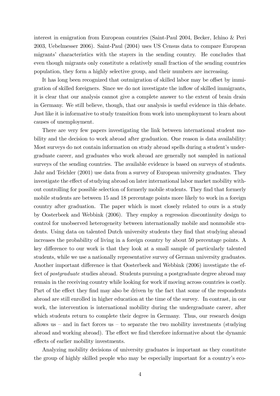interest in emigration from European countries (Saint-Paul 2004, Becker, Ichino & Peri 2003, Uebelmesser 2006). Saint-Paul (2004) uses US Census data to compare European migrantsí characteristics with the stayers in the sending country. He concludes that even though migrants only constitute a relatively small fraction of the sending countries population, they form a highly selective group, and their numbers are increasing.

It has long been recognized that outmigration of skilled labor may be offset by immigration of skilled foreigners. Since we do not investigate the ináow of skilled immigrants, it is clear that our analysis cannot give a complete answer to the extent of brain drain in Germany. We still believe, though, that our analysis is useful evidence in this debate. Just like it is informative to study transition from work into unemployment to learn about causes of unemployment.

There are very few papers investigating the link between international student mobility and the decision to work abroad after graduation. One reason is data availability: Most surveys do not contain information on study abroad spells during a student's undergraduate career, and graduates who work abroad are generally not sampled in national surveys of the sending countries. The available evidence is based on surveys of students. Jahr and Teichler (2001) use data from a survey of European university graduates. They investigate the effect of studying abroad on later international labor market mobility without controlling for possible selection of formerly mobile students. They find that formerly mobile students are between 15 and 18 percentage points more likely to work in a foreign country after graduation. The paper which is most closely related to ours is a study by Oosterbeek and Webbink (2006). They employ a regression discontinuity design to control for unobserved heterogeneity between internationally mobile and nonmobile students. Using data on talented Dutch university students they find that studying abroad increases the probability of living in a foreign country by about 50 percentage points. A key difference to our work is that they look at a small sample of particularly talented students, while we use a nationally representative survey of German university graduates. Another important difference is that Oosterbeek and Webbink (2006) investigate the effect of postgraduate studies abroad. Students pursuing a postgraduate degree abroad may remain in the receiving country while looking for work if moving across countries is costly. Part of the effect they find may also be driven by the fact that some of the respondents abroad are still enrolled in higher education at the time of the survey. In contrast, in our work, the intervention is international mobility during the undergraduate career, after which students return to complete their degree in Germany. Thus, our research design allows us  $-$  and in fact forces us  $-$  to separate the two mobility investments (studying abroad and working abroad). The effect we find therefore informative about the dynamic effects of earlier mobility investments.

Analyzing mobility decisions of university graduates is important as they constitute the group of highly skilled people who may be especially important for a countryís eco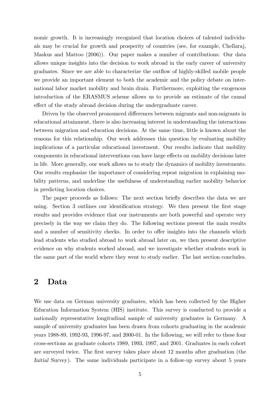nomic growth. It is increasingly recognized that location choices of talented individuals may be crucial for growth and prosperity of countries (see, for example, Chellaraj, Maskus and Mattoo (2006)). Our paper makes a number of contributions: Our data allows unique insights into the decision to work abroad in the early career of university graduates. Since we are able to characterize the outáow of highly-skilled mobile people we provide an important element to both the academic and the policy debate on international labor market mobility and brain drain. Furthermore, exploiting the exogenous introduction of the ERASMUS scheme allows us to provide an estimate of the causal effect of the study abroad decision during the undergraduate career.

Driven by the observed pronounced differences between migrants and non-migrants in educational attainment, there is also increasing interest in understanding the interactions between migration and education decisions. At the same time, little is known about the reasons for this relationship. Our work addresses this question by evaluating mobility implications of a particular educational investment. Our results indicate that mobility components in educational interventions can have large effects on mobility decisions later in life. More generally, our work allows us to study the dynamics of mobility investments. Our results emphasize the importance of considering repeat migration in explaining mobility patterns, and underline the usefulness of understanding earlier mobility behavior in predicting location choices.

The paper proceeds as follows: The next section briefly describes the data we are using. Section 3 outlines our identification strategy. We then present the first stage results and provides evidence that our instruments are both powerful and operate very precisely in the way we claim they do. The following sections present the main results and a number of sensitivity checks. In order to offer insights into the channels which lead students who studied abroad to work abroad later on, we then present descriptive evidence on why students worked abroad, and we investigate whether students work in the same part of the world where they went to study earlier. The last section concludes.

#### 2 Data

We use data on German university graduates, which has been collected by the Higher Education Information System (HIS) institute. This survey is conducted to provide a nationally representative longitudinal sample of university graduates in Germany. A sample of university graduates has been drawn from cohorts graduating in the academic years 1988-89, 1992-93, 1996-97, and 2000-01. In the following, we will refer to these four cross-sections as graduate cohorts 1989, 1993, 1997, and 2001. Graduates in each cohort are surveyed twice. The first survey takes place about 12 months after graduation (the Initial Survey). The same individuals participate in a follow-up survey about 5 years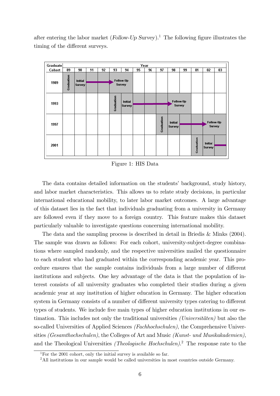after entering the labor market (Follow-Up Survey).<sup>1</sup> The following figure illustrates the timing of the different surveys.



Figure 1: HIS Data

The data contains detailed information on the students' background, study history, and labor market characteristics. This allows us to relate study decisions, in particular international educational mobility, to later labor market outcomes. A large advantage of this dataset lies in the fact that individuals graduating from a university in Germany are followed even if they move to a foreign country. This feature makes this dataset particularly valuable to investigate questions concerning international mobility.

The data and the sampling process is described in detail in Briedis & Minks (2004). The sample was drawn as follows: For each cohort, university-subject-degree combinations where sampled randomly, and the respective universities mailed the questionnaire to each student who had graduated within the corresponding academic year. This procedure ensures that the sample contains individuals from a large number of different institutions and subjects. One key advantage of the data is that the population of interest consists of all university graduates who completed their studies during a given academic year at any institution of higher education in Germany. The higher education system in Germany consists of a number of different university types catering to different types of students. We include five main types of higher education institutions in our estimation. This includes not only the traditional universities  $(Universitäten)$  but also the so-called Universities of Applied Sciences (Fachhochschulen), the Comprehensive Universities (Gesamthochschulen), the Colleges of Art and Music (Kunst- und Musikakademien), and the Theological Universities *(Theologische Hochschulen)*.<sup>2</sup> The response rate to the

<sup>&</sup>lt;sup>1</sup>For the 2001 cohort, only the initial survey is available so far.

<sup>&</sup>lt;sup>2</sup>All institutions in our sample would be called universities in most countries outside Germany.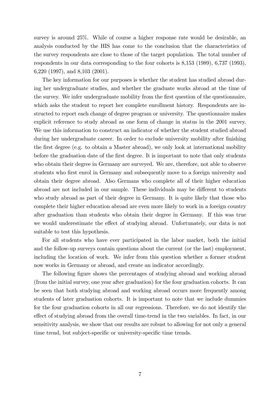survey is around 25%. While of course a higher response rate would be desirable, an analysis conducted by the HIS has come to the conclusion that the characteristics of the survey respondents are close to those of the target population. The total number of respondents in our data corresponding to the four cohorts is 8,153 (1989), 6,737 (1993), 6,220 (1997), and 8,103 (2001).

The key information for our purposes is whether the student has studied abroad during her undergraduate studies, and whether the graduate works abroad at the time of the survey. We infer undergraduate mobility from the first question of the questionnaire, which asks the student to report her complete enrollment history. Respondents are instructed to report each change of degree program or university. The questionnaire makes explicit reference to study abroad as one form of change in status in the 2001 survey. We use this information to construct an indicator of whether the student studied abroad during her undergraduate career. In order to exclude university mobility after finishing the first degree (e.g. to obtain a Master abroad), we only look at international mobility before the graduation date of the first degree. It is important to note that only students who obtain their degree in Germany are surveyed. We are, therefore, not able to observe students who first enrol in Germany and subsequently move to a foreign university and obtain their degree abroad. Also Germans who complete all of their higher education abroad are not included in our sample. These individuals may be different to students who study abroad as part of their degree in Germany. It is quite likely that those who complete their higher education abroad are even more likely to work in a foreign country after graduation than students who obtain their degree in Germany. If this was true we would underestimate the effect of studying abroad. Unfortunately, our data is not suitable to test this hypothesis.

For all students who have ever participated in the labor market, both the initial and the follow-up surveys contain questions about the current (or the last) employment, including the location of work. We infer from this question whether a former student now works in Germany or abroad, and create an indicator accordingly.

The following figure shows the percentages of studying abroad and working abroad (from the initial survey, one year after graduation) for the four graduation cohorts. It can be seen that both studying abroad and working abroad occurs more frequently among students of later graduation cohorts. It is important to note that we include dummies for the four graduation cohorts in all our regressions. Therefore, we do not identify the effect of studying abroad from the overall time-trend in the two variables. In fact, in our sensitivity analysis, we show that our results are robust to allowing for not only a general time trend, but subject-specific or university-specific time trends.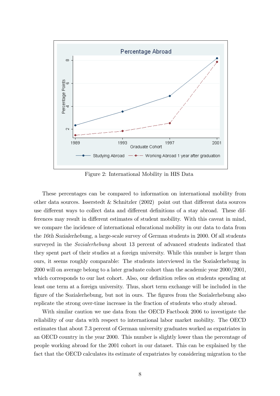

Figure 2: International Mobility in HIS Data

These percentages can be compared to information on international mobility from other data sources. Isserstedt & Schnitzler  $(2002)$  point out that different data sources use different ways to collect data and different definitions of a stay abroad. These differences may result in different estimates of student mobility. With this caveat in mind, we compare the incidence of international educational mobility in our data to data from the 16th Sozialerhebung, a large-scale survey of German students in 2000. Of all students surveyed in the Sozialerhebung about 13 percent of advanced students indicated that they spent part of their studies at a foreign university. While this number is larger than ours, it seems roughly comparable: The students interviewed in the Sozialerhebung in 2000 will on average belong to a later graduate cohort than the academic year 2000/2001, which corresponds to our last cohort. Also, our definition relies on students spending at least one term at a foreign university. Thus, short term exchange will be included in the figure of the Sozialerhebung, but not in ours. The figures from the Sozialerhebung also replicate the strong over-time increase in the fraction of students who study abroad.

With similar caution we use data from the OECD Factbook 2006 to investigate the reliability of our data with respect to international labor market mobility. The OECD estimates that about 7.3 percent of German university graduates worked as expatriates in an OECD country in the year 2000. This number is slightly lower than the percentage of people working abroad for the 2001 cohort in our dataset. This can be explained by the fact that the OECD calculates its estimate of expatriates by considering migration to the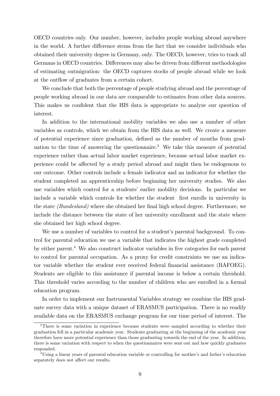OECD countries only. Our number, however, includes people working abroad anywhere in the world. A further difference stems from the fact that we consider individuals who obtained their university degree in Germany, only. The OECD, however, tries to track all Germans in OECD countries. Differences may also be driven from different methodologies of estimating outmigration: the OECD captures stocks of people abroad while we look at the outflow of graduates from a certain cohort.

We conclude that both the percentage of people studying abroad and the percentage of people working abroad in our data are comparable to estimates from other data sources. This makes us confident that the HIS data is appropriate to analyze our question of interest.

In addition to the international mobility variables we also use a number of other variables as controls, which we obtain from the HIS data as well. We create a measure of potential experience since graduation, defined as the number of months from graduation to the time of answering the questionnaire.<sup>3</sup> We take this measure of potential experience rather than actual labor market experience, because actual labor market experience could be affected by a study period abroad and might then be endogenous to our outcome. Other controls include a female indicator and an indicator for whether the student completed an apprenticeship before beginning her university studies. We also use variables which control for a studentsí earlier mobility decisions. In particular we include a variable which controls for whether the student first enrolls in university in the state  $(Bundesland)$  where she obtained her final high school degree. Furthermore, we include the distance between the state of her university enrollment and the state where she obtained her high school degree.

We use a number of variables to control for a student's parental background. To control for parental education we use a variable that indicates the highest grade completed by either parent.<sup>4</sup> We also construct indicator variables in five categories for each parent to control for parental occupation. As a proxy for credit constraints we use an indicator variable whether the student ever received federal financial assistance (BAFOEG). Students are eligible to this assistance if parental income is below a certain threshold. This threshold varies according to the number of children who are enrolled in a formal education program.

In order to implement our Instrumental Variables strategy we combine the HIS graduate survey data with a unique dataset of ERASMUS participation. There is no readily available data on the ERASMUS exchange program for our time period of interest. The

<sup>&</sup>lt;sup>3</sup>There is some variation in experience because students were sampled according to whether their graduation fell in a particular academic year. Students graduating at the beginning of the academic year therefore have more potential experience than those graduating towards the end of the year. In addition, there is some variation with respect to when the questionnaires were sent out and how quickly graduates responded.

<sup>&</sup>lt;sup>4</sup>Using a linear years of parental education variable or controlling for mother's and father's education separately does not affect our results.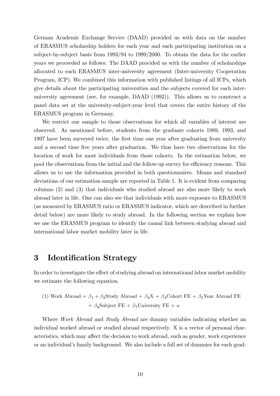German Academic Exchange Service (DAAD) provided us with data on the number of ERASMUS scholarship holders for each year and each participating institution on a subject-by-subject basis from 1993/94 to 1999/2000. To obtain the data for the earlier years we proceeded as follows: The DAAD provided us with the number of scholarships allocated to each ERASMUS inter-university agreement (Inter-university Cooperation Program, ICP). We combined this information with published listings of all ICPs, which give details about the participating universities and the subjects covered for each interuniversity agreement (see, for example, DAAD (1992)). This allows us to construct a panel data set at the university-subject-year level that covers the entire history of the ERASMUS program in Germany.

We restrict our sample to those observations for which all variables of interest are observed. As mentioned before, students from the graduate cohorts 1989, 1993, and 1997 have been surveyed twice, the Örst time one year after graduating from university and a second time five years after graduation. We thus have two observations for the location of work for most individuals from those cohorts. In the estimation below, we pool the observations from the initial and the follow-up survey for efficiency reasons. This allows us to use the information provided in both questionnaires. Means and standard deviations of our estimation sample are reported in Table 1. It is evident from comparing columns (2) and (3) that individuals who studied abroad are also more likely to work abroad later in life. One can also see that individuals with more exposure to ERASMUS (as measured by ERASMUS ratio or ERASMUS indicator, which are described in further detail below) are more likely to study abroad. In the following section we explain how we use the ERASMUS program to identify the causal link between studying abroad and international labor market mobility later in life.

# 3 Identification Strategy

In order to investigate the effect of studying abroad on international labor market mobility we estimate the following equation.

(1) Work Abroad =  $\beta_1+\beta_2\text{Study A broad}$  +  $\beta_3\text{X}$  +  $\beta_4\text{Cohort FE}$  +  $\beta_5\text{Year A broad FE}$ +  $\beta_6$ Subject FE +  $\beta_7$ University FE + u

Where *Work Abroad* and *Study Abroad* are dummy variables indicating whether an individual worked abroad or studied abroad respectively. X is a vector of personal characteristics, which may affect the decision to work abroad, such as gender, work experience or an individualís family background. We also include a full set of dummies for each grad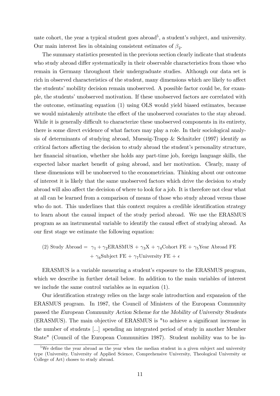uate cohort, the year a typical student goes abroad<sup>5</sup>, a student's subject, and university. Our main interest lies in obtaining consistent estimates of  $\beta_2$ .

The summary statistics presented in the previous section clearly indicate that students who study abroad differ systematically in their observable characteristics from those who remain in Germany throughout their undergraduate studies. Although our data set is rich in observed characteristics of the student, many dimensions which are likely to affect the students' mobility decision remain unobserved. A possible factor could be, for example, the students' unobserved motivation. If these unobserved factors are correlated with the outcome, estimating equation (1) using OLS would yield biased estimates, because we would mistakenly attribute the effect of the unobserved covariates to the stay abroad. While it is generally difficult to characterize these unobserved components in its entirety, there is some direct evidence of what factors may play a role. In their sociological analysis of determinants of studying abroad, Muessig-Trapp & Schnitzler (1997) identify as critical factors affecting the decision to study abroad the student's personality structure, her financial situation, whether she holds any part-time job, foreign language skills, the expected labor market benefit of going abroad, and her motivation. Clearly, many of these dimensions will be unobserved to the econometrician. Thinking about our outcome of interest it is likely that the same unobserved factors which drive the decision to study abroad will also affect the decision of where to look for a job. It is therefore not clear what at all can be learned from a comparison of means of those who study abroad versus those who do not. This underlines that this context requires a credible identification strategy to learn about the causal impact of the study period abroad. We use the ERASMUS program as an instrumental variable to identify the causal effect of studying abroad. As our first stage we estimate the following equation:

(2) Study Abroad = 
$$
\gamma_1 + \gamma_2
$$
ERASMUS +  $\gamma_3$ X +  $\gamma_4$ Colort FE +  $\gamma_5$ Year Abroad FE  
+  $\gamma_6$ Subject FE +  $\gamma_7$ University FE +  $\epsilon$ 

ERASMUS is a variable measuring a student's exposure to the ERASMUS program, which we describe in further detail below. In addition to the main variables of interest we include the same control variables as in equation (1).

Our identification strategy relies on the large scale introduction and expansion of the ERASMUS program. In 1987, the Council of Ministers of the European Community passed the European Community Action Scheme for the Mobility of University Students (ERASMUS). The main objective of ERASMUS is "to achieve a significant increase in the number of students [...] spending an integrated period of study in another Member State" (Council of the European Communities 1987). Student mobility was to be in-

<sup>&</sup>lt;sup>5</sup>We define the year abroad as the year when the median student in a given subject and university type (University, University of Applied Science, Comprehensive University, Theological University or College of Art) choses to study abroad.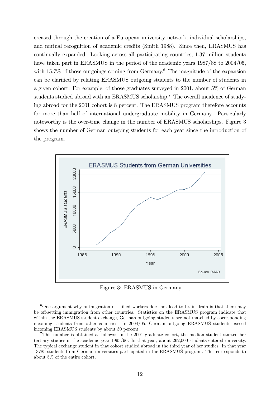creased through the creation of a European university network, individual scholarships, and mutual recognition of academic credits (Smith 1988). Since then, ERASMUS has continually expanded. Looking across all participating countries, 1.37 million students have taken part in ERASMUS in the period of the academic years  $1987/88$  to  $2004/05$ , with 15.7% of those outgoings coming from Germany.<sup>6</sup> The magnitude of the expansion can be clarified by relating ERASMUS outgoing students to the number of students in a given cohort. For example, of those graduates surveyed in 2001, about 5% of German students studied abroad with an ERASMUS scholarship.<sup>7</sup> The overall incidence of studying abroad for the 2001 cohort is 8 percent. The ERASMUS program therefore accounts for more than half of international undergraduate mobility in Germany. Particularly noteworthy is the over-time change in the number of ERASMUS scholarships. Figure 3 shows the number of German outgoing students for each year since the introduction of the program.



Figure 3: ERASMUS in Germany

 $6\text{One argument why our migration of skilled workers does not lead to brain drain is that there may.}$ be off-setting immigration from other countries. Statistics on the ERASMUS program indicate that within the ERASMUS student exchange, German outgoing students are not matched by corresponding incoming students from other countries: In 2004/05, German outgoing ERASMUS students exceed incoming ERASMUS students by about 30 percent.

<sup>7</sup>This number is obtained as follows: In the 2001 graduate cohort, the median student started her tertiary studies in the academic year 1995/96. In that year, about 262,000 students entered university. The typical exchange student in that cohort studied abroad in the third year of her studies. In that year 13785 students from German universities participated in the ERASMUS program. This corresponds to about 5% of the entire cohort.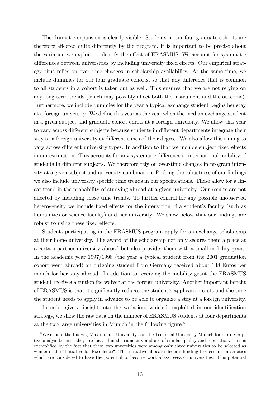The dramatic expansion is clearly visible. Students in our four graduate cohorts are therefore affected quite differently by the program. It is important to be precise about the variation we exploit to identify the effect of ERASMUS. We account for systematic differences between universities by including university fixed effects. Our empirical strategy thus relies on over-time changes in scholarship availability. At the same time, we include dummies for our four graduate cohorts, so that any difference that is common to all students in a cohort is taken out as well. This ensures that we are not relying on any long-term trends (which may possibly affect both the instrument and the outcome). Furthermore, we include dummies for the year a typical exchange student begins her stay at a foreign university. We define this year as the year when the median exchange student in a given subject and graduate cohort enrols at a foreign university. We allow this year to vary across different subjects because students in different departments integrate their stay at a foreign university at different times of their degree. We also allow this timing to vary across different university types. In addition to that we include subject fixed effects in our estimation. This accounts for any systematic difference in international mobility of students in different subjects. We therefore rely on over-time changes in program intensity at a given subject and university combination. Probing the robustness of our findings we also include university specific time trends in our specifications. These allow for a linear trend in the probability of studying abroad at a given university. Our results are not affected by including those time trends. To further control for any possible unobserved heterogeneity we include fixed effects for the interaction of a student's faculty (such as humanities or science faculty) and her university. We show below that our findings are robust to using these fixed effects.

Students participating in the ERASMUS program apply for an exchange scholarship at their home university. The award of the scholarship not only secures them a place at a certain partner university abroad but also provides them with a small mobility grant. In the academic year 1997/1998 (the year a typical student from the 2001 graduation cohort went abroad) an outgoing student from Germany received about 138 Euros per month for her stay abroad. In addition to receiving the mobility grant the ERASMUS student receives a tuition fee waiver at the foreign university. Another important benefit of ERASMUS is that it significantly reduces the student's application costs and the time the student needs to apply in advance to be able to organize a stay at a foreign university.

In order give a insight into the variation, which is exploited in our identification strategy, we show the raw data on the number of ERASMUS students at four departments at the two large universities in Munich in the following figure. $8$ 

<sup>8</sup>We choose the Ludwig-Maximilians University and the Technical University Munich for our descriptive analyis because they are located in the same city and are of similar quality and reputation. This is exemplified by the fact that these two unversities were among only three universities to be selected as winner of the "Initiative for Excellence". This initiative allocates federal funding to German universities which are considered to have the potential to become world-class research universities. This potential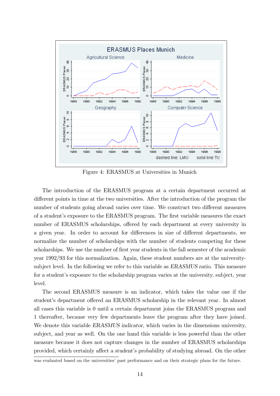

Figure 4: ERASMUS at Universities in Munich

The introduction of the ERASMUS program at a certain department occurred at different points in time at the two universities. After the introduction of the program the number of students going abroad varies over time. We construct two different measures of a studentís exposure to the ERASMUS program. The Örst variable measures the exact number of ERASMUS scholarships, offered by each department at every university in a given year. In order to account for differences in size of different departments, we normalize the number of scholarships with the number of students competing for these scholarships. We use the number of first year students in the fall semester of the academic year 1992/93 for this normalization. Again, these student numbers are at the universitysubject level. In the following we refer to this variable as ERASMUS ratio. This measure for a student's exposure to the scholarship program varies at the university, subject, year level.

The second ERASMUS measure is an indicator, which takes the value one if the student's department offered an ERASMUS scholarship in the relevant year. In almost all cases this variable is 0 until a certain department joins the ERASMUS program and 1 thereafter, because very few departments leave the program after they have joined. We denote this variable ERASMUS indicator, which varies in the dimensions university, subject, and year as well. On the one hand this variable is less powerful than the other measure because it does not capture changes in the number of ERASMUS scholarships provided, which certainly affect a student's probability of studying abroad. On the other

was evaluated based on the universities' past performance and on their strategic plans for the future.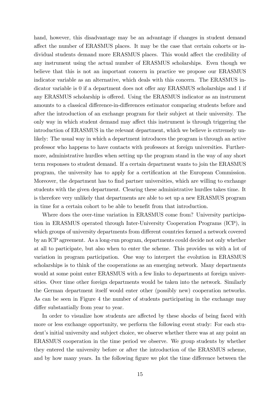hand, however, this disadvantage may be an advantage if changes in student demand affect the number of ERASMUS places. It may be the case that certain cohorts or individual students demand more ERASMUS places. This would affect the credibility of any instrument using the actual number of ERASMUS scholarships. Even though we believe that this is not an important concern in practice we propose our ERASMUS indicator variable as an alternative, which deals with this concern. The ERASMUS indicator variable is 0 if a department does not offer any ERASMUS scholarships and 1 if any ERASMUS scholarship is offered. Using the ERASMUS indicator as an instrument amounts to a classical difference-in-differences estimator comparing students before and after the introduction of an exchange program for their subject at their university. The only way in which student demand may affect this instrument is through triggering the introduction of ERASMUS in the relevant department, which we believe is extremely unlikely: The usual way in which a department introduces the program is through an active professor who happens to have contacts with professors at foreign universities. Furthermore, administrative hurdles when setting up the program stand in the way of any short term responses to student demand. If a certain department wants to join the ERASMUS program, the university has to apply for a certification at the European Commission. Moreover, the department has to find partner universities, which are willing to exchange students with the given department. Clearing these administrative hurdles takes time. It is therefore very unlikely that departments are able to set up a new ERASMUS program in time for a certain cohort to be able to benefit from that introduction.

Where does the over-time variation in ERASMUS come from? University participation in ERASMUS operated through Inter-University Cooperation Programs (ICP), in which groups of university departments from different countries formed a network covered by an ICP agreement. As a long-run program, departments could decide not only whether at all to participate, but also when to enter the scheme. This provides us with a lot of variation in program participation. One way to interpret the evolution in ERASMUS scholarships is to think of the cooperations as an emerging network. Many departments would at some point enter ERASMUS with a few links to departments at foreign universities. Over time other foreign departments would be taken into the network. Similarly the German department itself would enter other (possibly new) cooperation networks. As can be seen in Figure 4 the number of students participating in the exchange may differ substantially from year to year.

In order to visualize how students are affected by these shocks of being faced with more or less exchange opportunity, we perform the following event study: For each student's initial university and subject choice, we observe whether there was at any point an ERASMUS cooperation in the time period we observe. We group students by whether they entered the university before or after the introduction of the ERASMUS scheme, and by how many years. In the following figure we plot the time difference between the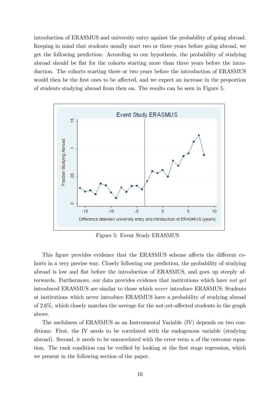introduction of ERASMUS and university entry against the probability of going abroad. Keeping in mind that students usually start two or three years before going abroad, we get the following prediction: According to our hypothesis, the probability of studying abroad should be flat for the cohorts starting more than three years before the introduction. The cohorts starting three or two years before the introduction of ERASMUS would then be the first ones to be affected, and we expect an increase in the proportion of students studying abroad from then on. The results can be seen in Figure 5.



Figure 5: Event Study ERASMUS

This figure provides evidence that the ERASMUS scheme affects the different cohorts in a very precise way. Closely following our prediction, the probability of studying abroad is low and áat before the introduction of ERASMUS, and goes up steeply afterwards. Furthermore, our data provides evidence that institutions which have not yet introduced ERASMUS are similar to those which never introduce ERASMUS: Students at institutions which never introduce ERASMUS have a probability of studying abroad of  $2.6\%$ , which closely matches the average for the not-yet-affected students in the graph above.

The usefulness of ERASMUS as an Instrumental Variable (IV) depends on two conditions: First, the IV needs to be correlated with the endogenous variable (studying abroad). Second, it needs to be uncorrelated with the error term  $u$  of the outcome equation. The rank condition can be verified by looking at the first stage regression, which we present in the following section of the paper.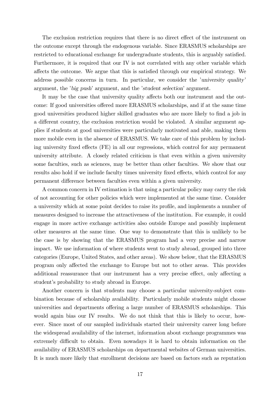The exclusion restriction requires that there is no direct effect of the instrument on the outcome except through the endogenous variable. Since ERASMUS scholarships are restricted to educational exchange for undergraduate students, this is arguably satisfied. Furthermore, it is required that our IV is not correlated with any other variable which affects the outcome. We argue that this is satisfied through our empirical strategy. We address possible concerns in turn. In particular, we consider the *'university quality'* argument, the 'big push' argument, and the 'student selection' argument.

It may be the case that university quality affects both our instrument and the outcome: If good universities offered more ERASMUS scholarships, and if at the same time good universities produced higher skilled graduates who are more likely to find a job in a different country, the exclusion restriction would be violated. A similar argument applies if students at good universities were particularly motivated and able, making them more mobile even in the absence of ERASMUS. We take care of this problem by including university fixed effects (FE) in all our regressions, which control for any permanent university attribute. A closely related criticism is that even within a given university some faculties, such as sciences, may be better than other faculties. We show that our results also hold if we include faculty times university fixed effects, which control for any permanent difference between faculties even within a given university.

A common concern in IV estimation is that using a particular policy may carry the risk of not accounting for other policies which were implemented at the same time. Consider a university which at some point decides to raise its profile, and implements a number of measures designed to increase the attractiveness of the institution. For example, it could engage in more active exchange activities also outside Europe and possibly implement other measures at the same time. One way to demonstrate that this is unlikely to be the case is by showing that the ERASMUS program had a very precise and narrow impact. We use information of where students went to study abroad, grouped into three categories (Europe, United States, and other areas). We show below, that the ERASMUS program only affected the exchange to Europe but not to other areas. This provides additional reassurance that our instrument has a very precise effect, only affecting a student's probability to study abroad in Europe.

Another concern is that students may choose a particular university-subject combination because of scholarship availability. Particularly mobile students might choose universities and departments offering a large number of ERASMUS scholarships. This would again bias our IV results. We do not think that this is likely to occur, however. Since most of our sampled individuals started their university career long before the widespread availability of the internet, information about exchange programmes was extremely difficult to obtain. Even nowadays it is hard to obtain information on the availability of ERASMUS scholarships on departmental websites of German universities. It is much more likely that enrollment decisions are based on factors such as reputation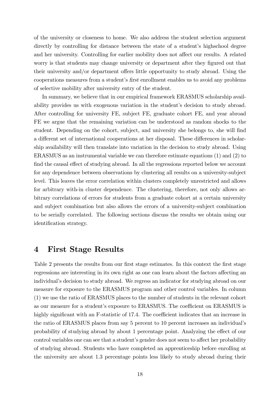of the university or closeness to home. We also address the student selection argument directly by controlling for distance between the state of a student's highschool degree and her university. Controlling for earlier mobility does not affect our results. A related worry is that students may change university or department after they figured out that their university and/or department offers little opportunity to study abroad. Using the cooperations measures from a student's first enrollment enables us to avoid any problems of selective mobility after university entry of the student.

In summary, we believe that in our empirical framework ERASMUS scholarship availability provides us with exogenous variation in the student's decision to study abroad. After controlling for university FE, subject FE, graduate cohort FE, and year abroad FE we argue that the remaining variation can be understood as random shocks to the student. Depending on the cohort, subject, and university she belongs to, she will find a different set of international cooperations at her disposal. These differences in scholarship availability will then translate into variation in the decision to study abroad. Using ERASMUS as an instrumental variable we can therefore estimate equations (1) and (2) to find the causal effect of studying abroad. In all the regressions reported below we account for any dependence between observations by clustering all results on a university-subject level. This leaves the error correlation within clusters completely unrestricted and allows for arbitrary with-in cluster dependence. The clustering, therefore, not only allows arbitrary correlations of errors for students from a graduate cohort at a certain university and subject combination but also allows the errors of a university-subject combination to be serially correlated. The following sections discuss the results we obtain using our identification strategy.

#### 4 First Stage Results

Table 2 presents the results from our first stage estimates. In this context the first stage regressions are interesting in its own right as one can learn about the factors affecting an individual's decision to study abroad. We regress an indicator for studying abroad on our measure for exposure to the ERASMUS program and other control variables. In column (1) we use the ratio of ERASMUS places to the number of students in the relevant cohort as our measure for a student's exposure to ERASMUS. The coefficient on ERASMUS is highly significant with an F-statistic of 17.4. The coefficient indicates that an increase in the ratio of ERASMUS places from say 5 percent to 10 percent increases an individual's probability of studying abroad by about 1 percentage point. Analyzing the effect of our control variables one can see that a student's gender does not seem to affect her probability of studying abroad. Students who have completed an apprenticeship before enrolling at the university are about 1.3 percentage points less likely to study abroad during their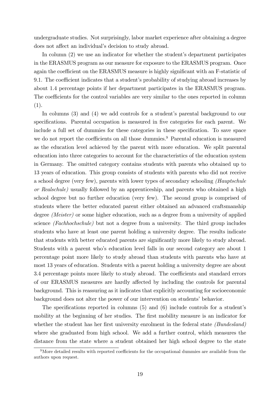undergraduate studies. Not surprisingly, labor market experience after obtaining a degree does not affect an individual's decision to study abroad.

In column  $(2)$  we use an indicator for whether the student's department participates in the ERASMUS program as our measure for exposure to the ERASMUS program. Once again the coefficient on the ERASMUS measure is highly significant with an F-statistic of 9.1. The coefficient indicates that a student's probability of studying abroad increases by about 1.4 percentage points if her department participates in the ERASMUS program. The coefficients for the control variables are very similar to the ones reported in column (1).

In columns  $(3)$  and  $(4)$  we add controls for a student's parental background to our specifications. Parental occupation is measured in five categories for each parent. We include a full set of dummies for these categories in these specification. To save space we do not report the coefficients on all those dummies.<sup>9</sup> Parental education is measured as the education level achieved by the parent with more education. We split parental education into three categories to account for the characteristics of the education system in Germany. The omitted category contains students with parents who obtained up to 13 years of education. This group consists of students with parents who did not receive a school degree (very few), parents with lower types of secondary schooling (Hauptschule or Realschule) usually followed by an apprenticeship, and parents who obtained a high school degree but no further education (very few). The second group is comprised of students where the better educated parent either obtained an advanced craftsmanship degree (Meister) or some higher education, such as a degree from a university of applied science (Fachhochschule) but not a degree from a university. The third group includes students who have at least one parent holding a university degree. The results indicate that students with better educated parents are significantly more likely to study abroad. Students with a parent whoís education level falls in our second category are about 1 percentage point more likely to study abroad than students with parents who have at most 13 years of education. Students with a parent holding a university degree are about 3.4 percentage points more likely to study abroad. The coefficients and standard errors of our ERASMUS measures are hardly affected by including the controls for parental background. This is reassuring as it indicates that explicitly accounting for socioeconomic background does not alter the power of our intervention on students' behavior.

The specifications reported in columns  $(5)$  and  $(6)$  include controls for a student's mobility at the beginning of her studies. The first mobility measure is an indicator for whether the student has her first university enrolment in the federal state  $(Bundesland)$ where she graduated from high school. We add a further control, which measures the distance from the state where a student obtained her high school degree to the state

 $9$ More detailed results with reported coefficients for the occupational dummies are available from the authors upon request.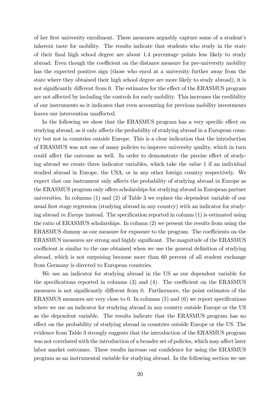of her first university enrollment. These measures arguably capture some of a student's inherent taste for mobility. The results indicate that students who study in the state of their Önal high school degree are about 1.4 percentage points less likely to study abroad. Even though the coefficient on the distance measure for pre-university mobility has the expected positive sign (those who enrol at a university further away from the state where they obtained their high school degree are more likely to study abroad), it is not significantly different from 0. The estimates for the effect of the ERASMUS program are not affected by including the controls for early mobility. This increases the credibility of our instruments as it indicates that even accounting for previous mobility investments leaves our intervention unaffected.

In the following we show that the ERASMUS program has a very specific effect on studying abroad, as it only affects the probability of studying abroad in a European country but not in countries outside Europe. This is a clear indication that the introduction of ERASMUS was not one of many policies to improve university quality, which in turn could affect the outcome as well. In order to demonstrate the precise effect of studying abroad we create three indicator variables, which take the value 1 if an individual studied abroad in Europe, the USA, or in any other foreign country respectively. We expect that our instrument only affects the probability of studying abroad in Europe as the ERASMUS program only offers scholarships for studying abroad in European partner universities. In columns (1) and (2) of Table 3 we replace the dependent variable of our usual first stage regression (studying abroad in any country) with an indicator for studying abroad in Europe instead. The specification reported in column  $(1)$  is estimated using the ratio of ERASMUS scholarships. In column (2) we present the results from using the ERASMUS dummy as our measure for exposure to the program. The coefficients on the ERASMUS measures are strong and highly significant. The magnitude of the ERASMUS coefficient is similar to the one obtained when we use the general definition of studying abroad, which is not surprising because more than 60 percent of all student exchange from Germany is directed to European countries.

We use an indicator for studying abroad in the US as our dependent variable for the specifications reported in columns  $(3)$  and  $(4)$ . The coefficient on the ERASMUS measures is not significantly different from 0. Furthermore, the point estimates of the ERASMUS measures are very close to  $0$ . In columns  $(5)$  and  $(6)$  we report specifications where we use an indicator for studying abroad in any country outside Europe or the US as the dependent variable. The results indicate that the ERASMUS program has no effect on the probability of studying abroad in countries outside Europe or the US. The evidence from Table 3 strongly suggests that the introduction of the ERASMUS program was not correlated with the introduction of a broader set of policies, which may affect later labor market outcomes. These results increase our confidence for using the ERASMUS program as an instrumental variable for studying abroad. In the following section we use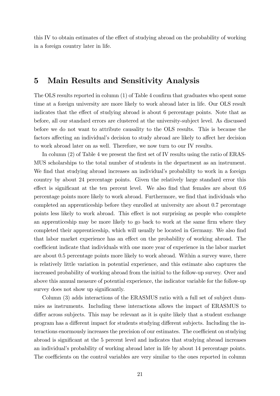this IV to obtain estimates of the effect of studying abroad on the probability of working in a foreign country later in life.

### 5 Main Results and Sensitivity Analysis

The OLS results reported in column  $(1)$  of Table 4 confirm that graduates who spent some time at a foreign university are more likely to work abroad later in life. Our OLS result indicates that the effect of studying abroad is about 6 percentage points. Note that as before, all our standard errors are clustered at the university-subject level. As discussed before we do not want to attribute causality to the OLS results. This is because the factors affecting an individual's decision to study abroad are likely to affect her decision to work abroad later on as well. Therefore, we now turn to our IV results.

In column (2) of Table 4 we present the first set of IV results using the ratio of ERAS-MUS scholarships to the total number of students in the department as an instrument. We find that studying abroad increases an individual's probability to work in a foreign country by about 24 percentage points. Given the relatively large standard error this effect is significant at the ten percent level. We also find that females are about  $0.6$ percentage points more likely to work abroad. Furthermore, we Önd that individuals who completed an apprenticeship before they enrolled at university are about 0.7 percentage points less likely to work abroad. This effect is not surprising as people who complete an apprenticeship may be more likely to go back to work at the same firm where they completed their apprenticeship, which will usually be located in Germany. We also find that labor market experience has an effect on the probability of working abroad. The coefficient indicate that individuals with one more year of experience in the labor market are about 0.5 percentage points more likely to work abroad. Within a survey wave, there is relatively little variation in potential experience, and this estimate also captures the increased probability of working abroad from the initial to the follow-up survey. Over and above this annual measure of potential experience, the indicator variable for the follow-up survey does not show up significantly.

Column (3) adds interactions of the ERASMUS ratio with a full set of subject dummies as instruments. Including these interactions allows the impact of ERASMUS to differ across subjects. This may be relevant as it is quite likely that a student exchange program has a different impact for students studying different subjects. Including the interactions enormously increases the precision of our estimates. The coefficient on studying abroad is significant at the 5 percent level and indicates that studying abroad increases an individual's probability of working abroad later in life by about 14 percentage points. The coefficients on the control variables are very similar to the ones reported in column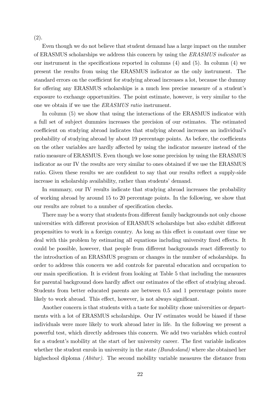(2).

Even though we do not believe that student demand has a large impact on the number of ERASMUS scholarships we address this concern by using the ERASMUS indicator as our instrument in the specifications reported in columns  $(4)$  and  $(5)$ . In column  $(4)$  we present the results from using the ERASMUS indicator as the only instrument. The standard errors on the coefficient for studying abroad increases a lot, because the dummy for offering any ERASMUS scholarships is a much less precise measure of a student's exposure to exchange opportunities. The point estimate, however, is very similar to the one we obtain if we use the ERASMUS ratio instrument.

In column (5) we show that using the interactions of the ERASMUS indicator with a full set of subject dummies increases the precision of our estimates. The estimated coefficient on studying abroad indicates that studying abroad increases an individual's probability of studying abroad by about 19 percentage points. As before, the coefficients on the other variables are hardly affected by using the indicator measure instead of the ratio measure of ERASMUS. Even though we lose some precision by using the ERASMUS indicator as our IV the results are very similar to ones obtained if we use the ERASMUS ratio. Given these results we are confident to say that our results reflect a supply-side increase in scholarship availability, rather than students' demand.

In summary, our IV results indicate that studying abroad increases the probability of working abroad by around 15 to 20 percentage points. In the following, we show that our results are robust to a number of specification checks.

There may be a worry that students from different family backgrounds not only choose universities with different provision of ERASMUS scholarships but also exhibit different propensities to work in a foreign country. As long as this effect is constant over time we deal with this problem by estimating all equations including university fixed effects. It could be possible, however, that people from different backgrounds react differently to the introduction of an ERASMUS program or changes in the number of scholarships. In order to address this concern we add controls for parental education and occupation to our main specification. It is evident from looking at Table 5 that including the measures for parental background does hardly affect our estimates of the effect of studying abroad. Students from better educated parents are between 0.5 and 1 percentage points more likely to work abroad. This effect, however, is not always significant.

Another concern is that students with a taste for mobility chose universities or departments with a lot of ERASMUS scholarships. Our IV estimates would be biased if these individuals were more likely to work abroad later in life. In the following we present a powerful test, which directly addresses this concern. We add two variables which control for a student's mobility at the start of her university career. The first variable indicates whether the student enrols in university in the state *(Bundesland)* where she obtained her highschool diploma (Abitur). The second mobility variable measures the distance from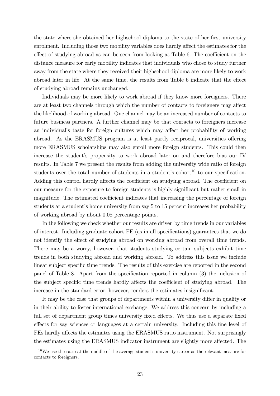the state where she obtained her highschool diploma to the state of her first university enrolment. Including those two mobility variables does hardly affect the estimates for the effect of studying abroad as can be seen from looking at Table 6. The coefficient on the distance measure for early mobility indicates that individuals who chose to study further away from the state where they received their highschool diploma are more likely to work abroad later in life. At the same time, the results from Table  $6$  indicate that the effect of studying abroad remains unchanged.

Individuals may be more likely to work abroad if they know more foreigners. There are at least two channels through which the number of contacts to foreigners may affect the likelihood of working abroad. One channel may be an increased number of contacts to future business partners. A further channel may be that contacts to foreigners increase an individual's taste for foreign cultures which may affect her probability of working abroad. As the ERASMUS program is at least partly reciprocal, universities offering more ERASMUS scholarships may also enroll more foreign students. This could then increase the student's propensity to work abroad later on and therefore bias our IV results. In Table 7 we present the results from adding the university wide ratio of foreign students over the total number of students in a student's cohort<sup>10</sup> to our specification. Adding this control hardly affects the coefficient on studying abroad. The coefficient on our measure for the exposure to foreign students is highly significant but rather small in magnitude. The estimated coefficient indicates that increasing the percentage of foreign students at a student's home university from say 5 to 15 percent increases her probability of working abroad by about 0.08 percentage points.

In the following we check whether our results are driven by time trends in our variables of interest. Including graduate cohort  $FE$  (as in all specifications) guarantees that we do not identify the effect of studying abroad on working abroad from overall time trends. There may be a worry, however, that students studying certain subjects exhibit time trends in both studying abroad and working abroad. To address this issue we include linear subject specific time trends. The results of this exercise are reported in the second panel of Table 8. Apart from the specification reported in column (3) the inclusion of the subject specific time trends hardly affects the coefficient of studying abroad. The increase in the standard error, however, renders the estimates insignificant.

It may be the case that groups of departments within a university differ in quality or in their ability to foster international exchange. We address this concern by including a full set of department group times university fixed effects. We thus use a separate fixed effects for say sciences or languages at a certain university. Including this fine level of FEs hardly affects the estimates using the ERASMUS ratio instrument. Not surprisingly the estimates using the ERASMUS indicator instrument are slightly more affected. The

 $10\,\text{We}$  use the ratio at the middle of the average student's university career as the relevant measure for contacts to foreigners.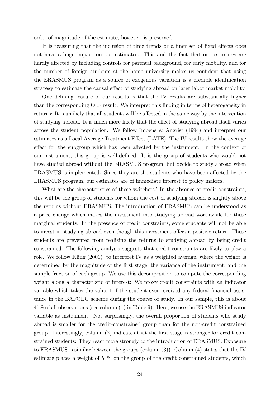order of magnitude of the estimate, however, is preserved.

It is reassuring that the inclusion of time trends or a finer set of fixed effects does not have a huge impact on our estimates. This and the fact that our estimates are hardly affected by including controls for parental background, for early mobility, and for the number of foreign students at the home university makes us confident that using the ERASMUS program as a source of exogenous variation is a credible identification strategy to estimate the causal effect of studying abroad on later labor market mobility.

One defining feature of our results is that the IV results are substantially higher than the corresponding OLS result. We interpret this finding in terms of heterogeneity in returns: It is unlikely that all students will be affected in the same way by the intervention of studying abroad. It is much more likely that the effect of studying abroad itself varies across the student population. We follow Imbens & Angrist (1994) and interpret our estimates as a Local Average Treatment Effect (LATE): The IV results show the average effect for the subgroup which has been affected by the instrument. In the context of our instrument, this group is well-deÖned: It is the group of students who would not have studied abroad without the ERASMUS program, but decide to study abroad when ERASMUS is implemented. Since they are the students who have been affected by the ERASMUS program, our estimates are of immediate interest to policy makers.

What are the characteristics of these switchers? In the absence of credit constraints, this will be the group of students for whom the cost of studying abroad is slightly above the returns without ERASMUS. The introduction of ERASMUS can be understood as a price change which makes the investment into studying abroad worthwhile for these marginal students. In the presence of credit constraints, some students will not be able to invest in studying abroad even though this investment offers a positive return. These students are prevented from realizing the returns to studying abroad by being credit constrained. The following analysis suggests that credit constraints are likely to play a role. We follow Kling (2001) to interpret IV as a weighted average, where the weight is determined by the magnitude of the first stage, the variance of the instrument, and the sample fraction of each group. We use this decomposition to compute the corresponding weight along a characteristic of interest: We proxy credit constraints with an indicator variable which takes the value 1 if the student ever received any federal financial assistance in the BAFOEG scheme during the course of study. In our sample, this is about 41% of all observations (see column (1) in Table 9). Here, we use the ERASMUS indicator variable as instrument. Not surprisingly, the overall proportion of students who study abroad is smaller for the credit-constrained group than for the non-credit constrained group. Interestingly, column  $(2)$  indicates that the first stage is stronger for credit constrained students: They react more strongly to the introduction of ERASMUS. Exposure to ERASMUS is similar between the groups (column (3)). Column (4) states that the IV estimate places a weight of 54% on the group of the credit constrained students, which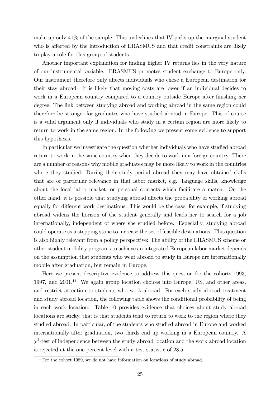make up only 41% of the sample. This underlines that IV picks up the marginal student who is affected by the introduction of ERASMUS and that credit constraints are likely to play a role for this group of students.

Another important explanation for finding higher IV returns lies in the very nature of our instrumental variable. ERASMUS promotes student exchange to Europe only. Our instrument therefore only affects individuals who chose a European destination for their stay abroad. It is likely that moving costs are lower if an individual decides to work in a European country compared to a country outside Europe after finishing her degree. The link between studying abroad and working abroad in the same region could therefore be stronger for graduates who have studied abroad in Europe. This of course is a valid argument only if individuals who study in a certain region are more likely to return to work in the same region. In the following we present some evidence to support this hypothesis.

In particular we investigate the question whether individuals who have studied abroad return to work in the same country when they decide to work in a foreign country. There are a number of reasons why mobile graduates may be more likely to work in the countries where they studied: During their study period abroad they may have obtained skills that are of particular relevance in that labor market, e.g. language skills, knowledge about the local labor market, or personal contacts which facilitate a match. On the other hand, it is possible that studying abroad affects the probability of working abroad equally for different work destinations. This would be the case, for example, if studying abroad widens the horizon of the student generally and leads her to search for a job internationally, independent of where she studied before. Especially, studying abroad could operate as a stepping stone to increase the set of feasible destinations. This question is also highly relevant from a policy perspective: The ability of the ERASMUS scheme or other student mobility programs to achieve an integrated European labor market depends on the assumption that students who went abroad to study in Europe are internationally mobile after graduation, but remain in Europe.

Here we present descriptive evidence to address this question for the cohorts 1993, 1997, and  $2001<sup>11</sup>$  We again group location choices into Europe, US, and other areas, and restrict attention to students who work abroad. For each study abroad treatment and study abroad location, the following table shows the conditional probability of being in each work location. Table 10 provides evidence that choices about study abroad locations are sticky, that is that students tend to return to work to the region where they studied abroad. In particular, of the students who studied abroad in Europe and worked internationally after graduation, two thirds end up working in a European country. A  $\chi^2$ -test of independence between the study abroad location and the work abroad location is rejected at the one percent level with a test statistic of 28.5.

 $\frac{11}{11}$  For the cohort 1989, we do not have information on locations of study abroad.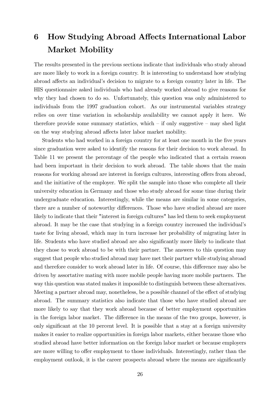# 6 How Studying Abroad Affects International Labor Market Mobility

The results presented in the previous sections indicate that individuals who study abroad are more likely to work in a foreign country. It is interesting to understand how studying abroad affects an individual's decision to migrate to a foreign country later in life. The HIS questionnaire asked individuals who had already worked abroad to give reasons for why they had chosen to do so. Unfortunately, this question was only administered to individuals from the 1997 graduation cohort. As our instrumental variables strategy relies on over time variation in scholarship availability we cannot apply it here. We therefore provide some summary statistics, which  $\overline{\phantom{a}}$  if only suggestive  $\overline{\phantom{a}}$  may shed light on the way studying abroad affects later labor market mobility.

Students who had worked in a foreign country for at least one month in the five years since graduation were asked to identify the reasons for their decision to work abroad. In Table 11 we present the percentage of the people who indicated that a certain reason had been important in their decision to work abroad. The table shows that the main reasons for working abroad are interest in foreign cultures, interesting offers from abroad, and the initiative of the employer. We split the sample into those who complete all their university education in Germany and those who study abroad for some time during their undergraduate education. Interestingly, while the means are similar in some categories, there are a number of noteworthy differences. Those who have studied abroad are more likely to indicate that their "interest in foreign cultures" has led them to seek employment abroad. It may be the case that studying in a foreign country increased the individual's taste for living abroad, which may in turn increase her probability of migrating later in life. Students who have studied abroad are also significantly more likely to indicate that they chose to work abroad to be with their partner. The answers to this question may suggest that people who studied abroad may have met their partner while studying abroad and therefore consider to work abroad later in life. Of course, this difference may also be driven by assortative mating with more mobile people having more mobile partners. The way this question was stated makes it impossible to distinguish between these alternatives. Meeting a partner abroad may, nonetheless, be a possible channel of the effect of studying abroad. The summary statistics also indicate that those who have studied abroad are more likely to say that they work abroad because of better employment opportunities in the foreign labor market. The difference in the means of the two groups, however, is only significant at the 10 percent level. It is possible that a stay at a foreign university makes it easier to realize opportunities in foreign labor markets, either because those who studied abroad have better information on the foreign labor market or because employers are more willing to offer employment to those individuals. Interestingly, rather than the employment outlook, it is the career prospects abroad where the means are significantly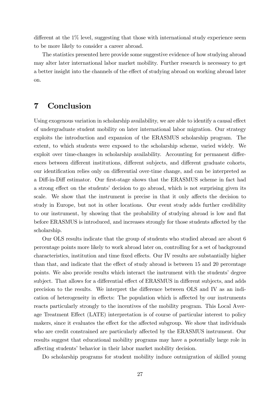different at the  $1\%$  level, suggesting that those with international study experience seem to be more likely to consider a career abroad.

The statistics presented here provide some suggestive evidence of how studying abroad may alter later international labor market mobility. Further research is necessary to get a better insight into the channels of the effect of studying abroad on working abroad later on.

## 7 Conclusion

Using exogenous variation in scholarship availability, we are able to identify a causal effect of undergraduate student mobility on later international labor migration. Our strategy exploits the introduction and expansion of the ERASMUS scholarship program. The extent, to which students were exposed to the scholarship scheme, varied widely. We exploit over time-changes in scholarship availability. Accounting for permanent differences between different institutions, different subjects, and different graduate cohorts, our identification relies only on differential over-time change, and can be interpreted as a Diff-in-Diff estimator. Our first-stage shows that the ERASMUS scheme in fact had a strong effect on the students' decision to go abroad, which is not surprising given its scale. We show that the instrument is precise in that it only affects the decision to study in Europe, but not in other locations. Our event study adds further credibility to our instrument, by showing that the probability of studying abroad is low and flat before ERASMUS is introduced, and increases strongly for those students affected by the scholarship.

Our OLS results indicate that the group of students who studied abroad are about 6 percentage points more likely to work abroad later on, controlling for a set of background characteristics, institution and time fixed effects. Our IV results are substantially higher than that, and indicate that the effect of study abroad is between 15 and 20 percentage points. We also provide results which interact the instrument with the students' degree subject. That allows for a differential effect of ERASMUS in different subjects, and adds precision to the results. We interpret the difference between OLS and IV as an indication of heterogeneity in effects: The population which is affected by our instruments reacts particularly strongly to the incentives of the mobility program. This Local Average Treatment Effect (LATE) interpretation is of course of particular interest to policy makers, since it evaluates the effect for the affected subgroup. We show that individuals who are credit constrained are particularly affected by the ERASMUS instrument. Our results suggest that educational mobility programs may have a potentially large role in affecting students' behavior in their labor market mobility decision.

Do scholarship programs for student mobility induce outmigration of skilled young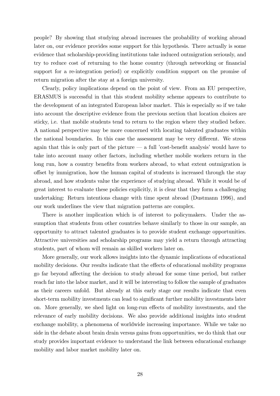people? By showing that studying abroad increases the probability of working abroad later on, our evidence provides some support for this hypothesis. There actually is some evidence that scholarship-providing institutions take induced outmigration seriously, and try to reduce cost of returning to the home country (through networking or financial support for a re-integration period) or explicitly condition support on the promise of return migration after the stay at a foreign university.

Clearly, policy implications depend on the point of view. From an EU perspective, ERASMUS is successful in that this student mobility scheme appears to contribute to the development of an integrated European labor market. This is especially so if we take into account the descriptive evidence from the previous section that location choices are sticky, i.e. that mobile students tend to return to the region where they studied before. A national perspective may be more concerned with locating talented graduates within the national boundaries. In this case the assessment may be very different. We stress again that this is only part of the picture  $\sim$  a full *cost-benefit analysis'* would have to take into account many other factors, including whether mobile workers return in the long run, how a country benefits from workers abroad, to what extent outmigration is offset by immigration, how the human capital of students is increased through the stay abroad, and how students value the experience of studying abroad. While it would be of great interest to evaluate these policies explicitly, it is clear that they form a challenging undertaking: Return intentions change with time spent abroad (Dustmann 1996), and our work underlines the view that migration patterns are complex.

There is another implication which is of interest to policymakers. Under the assumption that students from other countries behave similarly to those in our sample, an opportunity to attract talented graduates is to provide student exchange opportunities. Attractive universities and scholarship programs may yield a return through attracting students, part of whom will remain as skilled workers later on.

More generally, our work allows insights into the dynamic implications of educational mobility decisions. Our results indicate that the effects of educational mobility programs go far beyond affecting the decision to study abroad for some time period, but rather reach far into the labor market, and it will be interesting to follow the sample of graduates as their careers unfold. But already at this early stage our results indicate that even short-term mobility investments can lead to significant further mobility investments later on. More generally, we shed light on long-run effects of mobility investments, and the relevance of early mobility decisions. We also provide additional insights into student exchange mobility, a phenomena of worldwide increasing importance. While we take no side in the debate about brain drain versus gains from opportunities, we do think that our study provides important evidence to understand the link between educational exchange mobility and labor market mobility later on.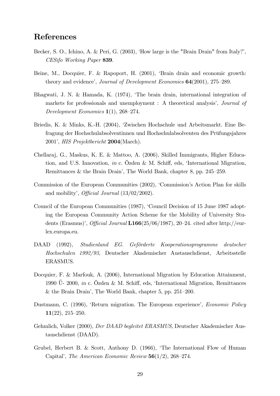## References

- Becker, S. O., Ichino, A. & Peri, G. (2003), 'How large is the "Brain Drain" from Italy?', CESifo Working Paper 839.
- Beine, M., Docquier, F. & Rapoport, H. (2001), 'Brain drain and economic growth: theory and evidence', *Journal of Development Economics*  $64(2001)$ ,  $275-289$ .
- Bhagwati, J. N. & Hamada, K. (1974), ëThe brain drain, international integration of markets for professionals and unemployment : A theoretical analysis', *Journal of* Development Economics  $1(1)$ , 268–274.
- Briedis, K. & Minks, K.-H. (2004), ëZwischen Hochschule und Arbeitsmarkt. Eine Befragung der Hochschulabsolventinnen und Hochschulabsolventen des Prüfungsjahres 2001í, HIS Projektbericht 2004(March).
- Chellaraj, G., Maskus, K. E. & Mattoo, A. (2006), Skilled Immigrants, Higher Education, and U.S. Innovation, in c. Özden & M. Schiff, eds, 'International Migration, Remittances & the Brain Drain', The World Bank, chapter 8, pp.  $245-259$ .
- Commission of the European Communities (2002), 'Commission's Action Plan for skills and mobility', *Official Journal*  $(13/02/2002)$ .
- Council of the European Communities (1987), 'Council Decision of 15 June 1987 adopting the European Community Action Scheme for the Mobility of University Students (Erasmus)', *Official Journal* L166(25/06/1987), 20–24. cited after http://eurlex.europa.eu.
- DAAD (1992), Studienland EG. Geförderte Kooperationsprogramme deutscher Hochschulen 1992/93, Deutscher Akademischer Austauschdienst, Arbeitsstelle ERASMUS.
- Docquier, F. & Marfouk, A. (2006), International Migration by Education Attainment, 1990  $\Upsilon$ - 2000, *in* c. Özden & M. Schiff, eds, 'International Migration, Remittances  $&$  the Brain Drain', The World Bank, chapter 5, pp. 251–200.
- Dustmann, C. (1996), 'Return migration. The European experience', *Economic Policy*  $11(22), 215-250.$
- Gehmlich, Volker (2000), Der DAAD begleitet ERASMUS, Deutscher Akademischer Austauschdienst (DAAD).
- Grubel, Herbert B. & Scott, Anthony D. (1966), ëThe International Flow of Human Capital', The American Economic Review  $56(1/2)$ , 268–274.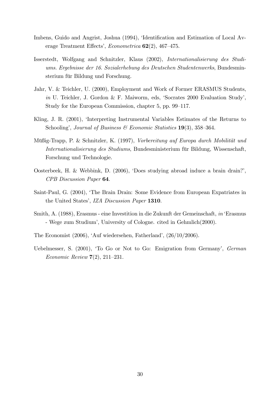- Imbens, Guido and Angrist, Joshua (1994), 'Identification and Estimation of Local Average Treatment Effects', *Econometrica*  $62(2)$ , 467–475.
- Isserstedt, Wolfgang and Schnitzler, Klaus (2002), Internationalisierung des Studiums. Ergebnisse der 16. Sozialerhebung des Deutschen Studentenwerks, Bundesminsterium für Bildung und Forschung.
- Jahr, V. & Teichler, U. (2000), Employment and Work of Former ERASMUS Students, in U. Teichler, J. Gordon & F. Maiworm, eds, 'Socrates 2000 Evaluation Study', Study for the European Commission, chapter 5, pp. 99–117.
- Kling, J. R. (2001), 'Interpreting Instrumental Variables Estimates of the Returns to Schooling', Journal of Business  $\mathcal C$  Economic Statistics 19(3), 358–364.
- Müßig-Trapp, P. & Schnitzler, K. (1997), Vorbereitung auf Europa durch Mobilität und Internationalisierung des Studiums, Bundesministerium für Bildung, Wissenschaft, Forschung und Technologie.
- Oosterbeek, H. & Webbink, D. (2006), ëDoes studying abroad induce a brain drain?í, CPB Discussion Paper 64.
- Saint-Paul, G. (2004), 'The Brain Drain: Some Evidence from European Expatriates in the United States', IZA Discussion Paper 1310.
- Smith, A. (1988), Erasmus eine Investition in die Zukunft der Gemeinschaft, in Erasmus - Wege zum Studiumí, University of Cologne. cited in Gehmlich(2000).
- The Economist  $(2006)$ , 'Auf wiedersehen, Fatherland',  $(26/10/2006)$ .
- Uebelmesser, S. (2001), 'To Go or Not to Go: Emigration from Germany', German *Economic Review*  $7(2)$ , 211–231.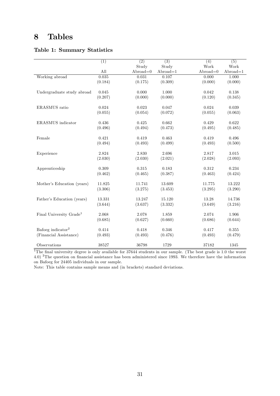# 8 Tables

#### Table 1: Summary Statistics

|                                     | (1)     | $\overline{(2)}$ | $\overline{(3)}$ | (4)        | (5)        |
|-------------------------------------|---------|------------------|------------------|------------|------------|
|                                     |         | Study            | Study            | Work       | Work       |
|                                     | All     | $Abroad=0$       | $Abroad=1$       | $Abroad=0$ | $Abroad=1$ |
| Working abroad                      | 0.035   | 0.031            | 0.107            | 0.000      | 1.000      |
|                                     | (0.184) | (0.175)          | (0.309)          | (0.000)    | (0.000)    |
|                                     |         |                  |                  |            |            |
| Undergraduate study abroad          | 0.045   | 0.000            | 1.000            | 0.042      | 0.138      |
|                                     | (0.207) | (0.000)          | (0.000)          | (0.120)    | (0.345)    |
|                                     |         |                  |                  |            |            |
| ERASMUS ratio                       | 0.024   | 0.023            | 0.047            | 0.024      | 0.039      |
|                                     | (0.055) | (0.054)          | (0.072)          | (0.055)    | (0.063)    |
|                                     | 0.436   | 0.425            | 0.662            | 0.429      | 0.622      |
| <b>ERASMUS</b> indicator            |         |                  |                  |            |            |
|                                     | (0.496) | (0.494)          | (0.473)          | (0.495)    | (0.485)    |
| Female                              | 0.421   | 0.419            | 0.463            | 0.419      | 0.496      |
|                                     | (0.494) | (0.493)          | (0.499)          | (0.493)    | (0.500)    |
|                                     |         |                  |                  |            |            |
| Experience                          | 2.824   | 2.830            | 2.696            | 2.817      | 3.015      |
|                                     | (2.030) | (2.030)          | (2.021)          | (2.028)    | (2.093)    |
|                                     |         |                  |                  |            |            |
| Apprenticeship                      | 0.309   | 0.315            | 0.183            | 0.312      | 0.234      |
|                                     | (0.462) | (0.465)          | (0.387)          | (0.463)    | (0.424)    |
|                                     |         |                  |                  |            |            |
| Mother's Education (years)          | 11.825  | 11.741           | 13.609           | 11.775     | 13.222     |
|                                     | (3.306) | (3.275)          | (3.453)          | (3.295)    | (3.290)    |
|                                     |         | 13.247           | 15.120           | 13.28      | 14.736     |
| Father's Education (years)          | 13.331  |                  |                  |            |            |
|                                     | (3.644) | (3.637)          | (3.332)          | (3.649)    | (3.216)    |
| Final University Grade <sup>1</sup> | 2.068   | 2.078            | 1.859            | 2.074      | 1.906      |
|                                     | (0.685) | (0.627)          | (0.660)          | (0.686)    | (0.644)    |
|                                     |         |                  |                  |            |            |
| Bafoeg indicator <sup>2</sup>       | 0.414   | 0.418            | 0.346            | 0.417      | 0.355      |
| (Financial Assistance)              | (0.493) | (0.493)          | (0.476)          | (0.493)    | (0.479)    |
|                                     |         |                  |                  |            |            |
| Observations                        | 38527   | 36798            | 1729             | 37182      | 1345       |

 $\overline{^{1}}$ The final university degree is only available for 37644 students in our sample. (The best grade is 1.0 the worst 4.0) <sup>2</sup>The question on financial assistance has been administered since 1993. We therefore have the information on Bafoeg for 24405 individuals in our sample.

Note: This table contains sample means and (in brackets) standard deviations.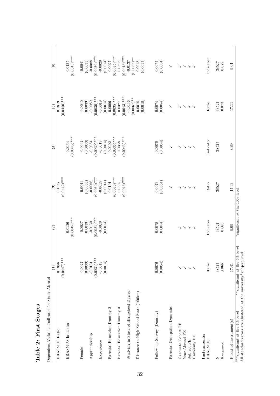| Dependent Variable: Indicator for Study Abroad                                                                     | Ξ                             | $\widehat{\mathfrak{S}}$         | $\widehat{c}$                              | €                                    | $\widehat{5}$                              | $\widehat{6}$                                          |
|--------------------------------------------------------------------------------------------------------------------|-------------------------------|----------------------------------|--------------------------------------------|--------------------------------------|--------------------------------------------|--------------------------------------------------------|
| ERASMUS Ratio                                                                                                      | $(0.0447)$ ***<br>0.1866      |                                  | $(0.0442)^{***}$<br>0.1847                 |                                      | $(0.0440)$ ***<br>0.1819                   |                                                        |
| ERASMUS Indicator                                                                                                  |                               | $(0.0045)$ ***<br>0.0136         |                                            | $(0.0045)$ ***<br>0.0134             |                                            | $(0.0045)$ ***<br>0.0135                               |
| $\label{p:em} \textbf{Female}$                                                                                     | $-0.0027$                     | $-0.0027$                        | $-0.0041$                                  | $-0.0042$                            | $-0.0040$                                  | $-0.0041$                                              |
| Apprenticeship                                                                                                     | (0.0033)<br>$-0.0131$         | (0.0033)<br>$-0.0130$            | (0.0033)<br>$-0.0086$                      | (0.0033)<br>$-0.0084$                | (0.0033)<br>$-0.0089$                      | (0.0033)<br>$-0.0088$                                  |
| Experience                                                                                                         | $(0.0031)$ ***<br>$-0.0019$   | $(0.0031)^{***}$<br>$-0.0020$    | $(0.0030)***$<br>$-0.0019$                 | $(0.0030)$ ***<br>$-0.0019$          | $(0.0030)$ ***<br>$-0.0019$                | $(0.0030)$ ***<br>$-0.0020$                            |
| $\mathbf{\Omega}$<br>Parental Education Dummy                                                                      | (0.0014)                      | (0.0014)                         | (0.0014)<br>0.0101                         | $(0.0036)$ ***<br>(0.0014)<br>0.0102 | (0.0014)<br>0.0096                         | (0.0014)<br>1600.0                                     |
| S<br>Parental Education Dummy                                                                                      |                               |                                  | $(0.0036)$ ***<br>$(0.0043)$ ***<br>0.0339 | $(0.0043)$ ***<br>0.0338             | $(0.0035)$ ***<br>$(0.0043)$ ***<br>0.0327 | $(0.0035)$ ***<br>$(0.0043)$ ***<br>0.0326             |
| Studying in State of Highschool Degree                                                                             |                               |                                  |                                            |                                      | $-0.0136$                                  | $(0.0067)$ **<br>$-0.0137$                             |
| Distance to High School State (100km)                                                                              |                               |                                  |                                            |                                      | $(0.0067)$ **<br>(0.0018)<br>0.0018        | (0.0017)<br>0.0018                                     |
| Follow-up Survey (Dummy)                                                                                           | (0.0054)<br>0.0076            | (0.0054)<br>0.0078               | (0.0054)<br>0.0073                         | (0.0054)<br>0.0076                   | (0.0054)<br>0.0074                         | (0.0054)                                               |
| Parental Occupation Dummies                                                                                        |                               |                                  | ↘                                          | ↘                                    | $\checkmark$                               | $\checkmark$                                           |
| Graduate Cohort FE<br>Year Abroad FE<br>University FE<br>Subject FE                                                | $>$ $>$ $>$                   | $\mathcal{L} \times \mathcal{L}$ | $\ddot{\sim}$<br>$\searrow$                | $\searrow$<br>$\searrow$             | $\checkmark$<br>$\searrow$                 | $\searrow$<br>$\checkmark$<br>$\searrow$<br>$\searrow$ |
| Instruments:<br>ERASMUS                                                                                            | Ratio                         | Indicator                        | Ratio                                      | Indicator                            | Ratio                                      | Indicator                                              |
| R-squared<br>Z                                                                                                     | 38527<br>0.066                | 38527<br>0.065                   | 38527                                      | 38527                                | 38527<br>0.073                             | 38527<br>0.072                                         |
| $F-stat of Instrument(s)$                                                                                          | 17.41                         | 0.09                             | 17.43                                      | 8.89                                 | 17.11                                      | 9.04                                                   |
| All standard errors are clustered at the university*subject level.<br>$\overline{***}$ significant at the 1% level | **significant at the 5% level | *significant at the 10% level    |                                            |                                      |                                            |                                                        |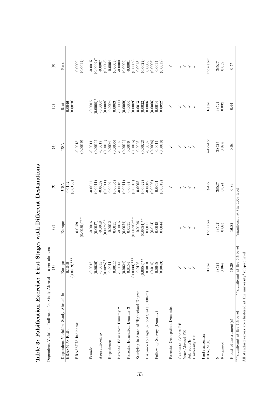|                                               | $\widehat{\Xi}$               | $\widehat{c}$                 | $\mathfrak{S}$        | $\left( 4\right)$     | $\widetilde{5}$       | $\odot$               |
|-----------------------------------------------|-------------------------------|-------------------------------|-----------------------|-----------------------|-----------------------|-----------------------|
| Dependent Variable: Study Abroad in           | Europe                        | Europe                        | USA                   | USA                   | Rest                  | Rest                  |
| ERASMUS Ratio                                 | $(0.0419)$ ***<br>0.1840      |                               | (0.0155)<br>0.0142    |                       | (0.0070)<br>0.0046    |                       |
| ERASMUS Indicator                             |                               | 0.0159                        |                       | $-0.0018$             |                       | 0.0009                |
|                                               |                               | $(0.0039)$ ***                |                       | (0.0019)              |                       | (0.0012)              |
| Female                                        | $-0.0016$                     | $-0.0016$                     | $-0.0011$             | $-0.0011$             | $-0.0015$             | $-0.0015$             |
|                                               | (0.0026)                      | (0.0027)                      | (0.0011)              | (0.0011)              | $(0.0009)^*$          | $(0.0009)$ *          |
| Apprenticeship                                | $-0.0049$                     | $-0.0048$                     | $-0.0018$             | $-0.0017$             | $-0.0007$             | $-0.0007$             |
|                                               | $(0.0025)$ *                  | $(0.0025)^*$                  | (0.0011)              | 0.0011                | (0.0008)              | (0.0008)              |
| Experience                                    | $-0.0011$<br>(0.0011)         | (0.0011)<br>$-0.0012$         | (0.0005)<br>0.0004    | (0.0005)<br>0.0004    | (0.0003)<br>$-0.0004$ | (0.0003)<br>$-0.0004$ |
| $\mathbf{\Omega}$<br>Parental Education Dummy | $-0.0014$                     | $-0.0015$                     | $-0.0002$             | $-0.0002$             | $-0.0000$             | $-0.0000$             |
|                                               | (0.0024)                      | (0.0024)                      | (0.0011)              | (0.0011)              | (0.0009)              | (0.0009)              |
| S<br>Parental Education Dummy                 | 0.0154                        | 0.0151                        | 0.0037                | 0.0036                | $-0.0001$             | $-0.0001$             |
|                                               | $(0.0033)$ ***                | $(0.0033)$ ***                | (0.0015)              | (0.0015)              | (0.0009)              | (0.0009)              |
| Studying in State of Highschool Degree        | $-0.0105$                     | $-0.0106$                     | $-0.0005$             | $-0.0005$             | 0.0013                | 0.0013                |
|                                               | $(0.0054)$ **<br>0.0010       | $(0.0054)$ **<br>0.0011       | (0.0022)<br>$-0.0002$ | $-0.0002$<br>(0.0022) | (0.0022)<br>0.0006    | (0.0022)<br>0.0006    |
| Distance to High School State (100km)         | (0.014)                       | (0.014)                       | (0.0006)              | (0.0006)              | (0.0006)              | (0.0006)              |
| Follow-up Survey (Dummy)                      | 0.0045                        | 0.0048                        | $-0.0014$             | $-0.0014$             | 0.0014                | 0.0014                |
|                                               | (0.0043)                      | (0.0044)                      | (0.0019)              | (0.0018)              | (0.0022)              | (0.0012)              |
| Parental Occupation Dummies                   |                               |                               |                       |                       | ↘                     |                       |
| Graduate Cohort FE                            | ↘                             |                               |                       |                       |                       |                       |
| Year Abroad FE                                |                               | $\searrow$                    | $\searrow$            |                       | $\searrow$            |                       |
| Subject FE                                    | $>$ $>$ $>$                   | $\checkmark$                  | $\searrow$            |                       | ↘                     |                       |
| University FE                                 |                               |                               |                       |                       |                       |                       |
| Instruments:                                  |                               |                               |                       |                       |                       |                       |
| ERASMUS                                       | Ratio                         | Indicator                     | Ratio                 | Indicator             | Ratio                 | Indicator             |
| z                                             | 38527                         | 38527                         | 38527                 | 38527                 | 38527                 | 38527                 |
| R-squared                                     | 0.064                         | 0.063                         | 0.074                 | 0.074                 | 0.032                 | 0.032                 |
| F-stat of Instrument(s)                       | 19.29                         | $16.82\,$                     | 0.83                  | 0.08                  | 0.44                  | 0.57                  |
| ***significant at the 1% level                | **significant at the 5% level | *significant at the 10% level |                       |                       |                       |                       |

Table 3: Falsification Exercise: First Stages with Different Destinations Table 3: Falsification Exercise: First Stages with Different Destinations

All standard errors are clustered at the university\*sub ject level.

All standard errors are clustered at the university<br>\*subject level.  $\;$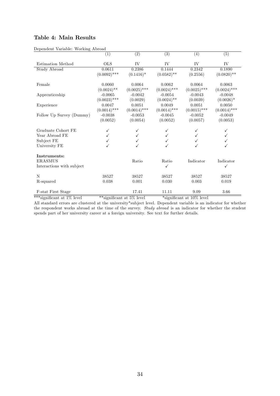#### Table 4: Main Results

| Dependent variable. Working Abroad | (1)            | $\overline{(2)}$ | $\overline{(3)}$ | (4)            | $\overline{(5)}$ |
|------------------------------------|----------------|------------------|------------------|----------------|------------------|
| Estimation Method                  | <b>OLS</b>     | IV               | IV               | IV             | IV               |
| <b>Study Abroad</b>                | 0.0611         | 0.2386           | 0.1444           | 0.2342         | 0.1890           |
|                                    | $(0.0092)$ *** | $(0.1416)^*$     | $(0.0582)$ **    | (0.2556)       | $(0.0820)$ **    |
| Female                             | 0.0060         | 0.0064           | 0.0062           | 0.0064         | 0.0063           |
|                                    | $(0.0024)$ **  | $(0.0025)$ ***   | $(0.0024)$ ***   | $(0.0025)$ *** | $(0.0024)$ ***   |
| Apprenticeship                     | $-0.0065$      | $-0.0042$        | $-0.0054$        | $-0.0043$      | $-0.0048$        |
|                                    | $(0.0023)$ *** | (0.0029)         | $(0.0024)$ **    | (0.0039)       | $(0.0026)^*$     |
| Experience                         | 0.0047         | 0.0051           | 0.0049           | 0.0051         | 0.0050           |
|                                    | $(0.0014)$ *** | $(0.0014)$ ***   | $(0.0014)$ ***   | $(0.0015)$ *** | $(0.0014)$ ***   |
| Follow Up Survey (Dummy)           | $-0.0038$      | $-0.0053$        | $-0.0045$        | $-0.0052$      | $-0.0049$        |
|                                    | (0.0052)       | (0.0054)         | (0.0052)         | (0.0057)       | (0.0053)         |
| Graduate Cohort FE                 |                |                  |                  |                |                  |
| Year Abroad FE                     |                |                  |                  |                |                  |
| Subject FE                         |                |                  |                  |                |                  |
| University FE                      |                |                  |                  |                |                  |
| Instruments:                       |                |                  |                  |                |                  |
| <b>ERASMUS</b>                     |                | Ratio            | Ratio            | Indicator      | Indicator        |
| Interactions with subject          |                |                  | ✓                |                | ✓                |
| N                                  | 38527          | 38527            | 38527            | 38527          | 38527            |
| R-squared                          | 0.038          | 0.001            | 0.030            | 0.003          | 0.019            |
|                                    |                |                  |                  |                |                  |
| <b>F-stat First Stage</b>          |                | 17.41            | 11.11            | 9.09           | 3.66             |

Dependent Variable: Working Abroad

\*\*\*significant at  $1\%$  level \*\*significant at  $5\%$  level \*\*significant at  $10\%$  level All standard errors are clustered at the university\*subject level. Dependent variable is an indicator for whether the respondent works abroad at the time of the survey. Study abroad is an indicator for whether the student spends part of her university career at a foreign university. See text for further details.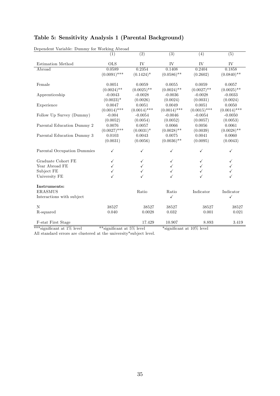| Dependent Variable: Dummy for Working Abroad |                |                  |                  |                |                |
|----------------------------------------------|----------------|------------------|------------------|----------------|----------------|
|                                              | (1)            | $\overline{(2)}$ | $\overline{(3)}$ | (4)            | (5)            |
| Estimation Method                            | <b>OLS</b>     | IV               | IV               | IV             | IV             |
| Abroad                                       | 0.0589         | 0.2354           | 0.1408           | 0.2404         | 0.1858         |
|                                              | $(0.0091)$ *** | $(0.1424)^*$     | $(0.0586)$ **    | (0.2602)       | $(0.0840)$ **  |
| Female                                       | 0.0051         | 0.0059           | 0.0055           | 0.0059         | 0.0057         |
|                                              | $(0.0024)$ **  | $(0.0025)$ **    | $(0.0024)$ **    | $(0.0027)$ **  | $(0.0025)$ **  |
| Apprenticeship                               | $-0.0043$      | $-0.0028$        | $-0.0036$        | $-0.0028$      | $-0.0033$      |
|                                              | $(0.0023)^*$   | (0.0026)         | (0.0024)         | (0.0031)       | (0.0024)       |
| Experience                                   | 0.0047         | 0.0051           | 0.0049           | 0.0051         | 0.0050         |
|                                              | $(0.0014)$ *** | $(0.0014)$ ***   | $(0.0014)$ ***   | $(0.0015)$ *** | $(0.0014)$ *** |
| Follow Up Survey (Dummy)                     | $-0.004$       | $-0.0054$        | $-0.0046$        | $-0.0054$      | $-0.0050$      |
|                                              | (0.0052)       | (0.0054)         | (0.0052)         | (0.0057)       | (0.0053)       |
| Parental Education Dummy 2                   | 0.0076         | 0.0057           | 0.0066           | 0.0056         | 0.0061         |
|                                              | $(0.0027)$ *** | $(0.0031)^*$     | $(0.0028)$ **    | (0.0039)       | $(0.0028)$ **  |
| Parental Education Dummy 3                   | 0.0103         | 0.0043           | 0.0075           | 0.0041         | 0.0060         |
|                                              | (0.0031)       | (0.0056)         | $(0.0036)$ **    | (0.0095)       | (0.0043)       |
| Parental Occupation Dummies                  | ✓              | ✓                | ✓                | ✓              | ✓              |
| Graduate Cohort FE                           | ✓              |                  |                  |                | $\checkmark$   |
| Year Abroad FE                               |                |                  |                  |                |                |
| Subject FE                                   |                | ✓                |                  |                |                |
| University FE                                |                |                  |                  |                |                |
| Instruments:                                 |                |                  |                  |                |                |
| <b>ERASMUS</b>                               |                | Ratio            | Ratio            | Indicator      | Indicator      |
| Interactions with subject                    |                |                  | $\checkmark$     |                | ✓              |
| N                                            | 38527          | 38527            | 38527            | 38527          | 38527          |
| R-squared                                    | 0.040          | 0.0028           | 0.032            | 0.001          | 0.021          |
| <b>F-stat First Stage</b>                    |                | 17.429           | 10.907           | 8.893          | 3.419          |

## Table 5: Sensitivity Analysis 1 (Parental Background)

\*\*\*significant at 1% level \*\*\*significant at 5% level \*\*\*significant at 10% level

All standard errors are clustered at the university\*subject level.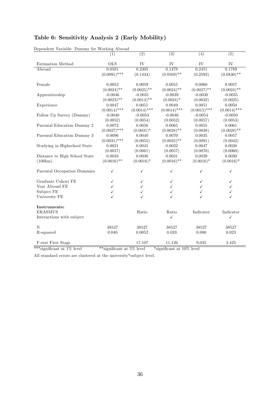#### Table 6: Sensitivity Analysis 2 (Early Mobility)

|                               | (1)            | $\overline{(2)}$ | $\overline{(3)}$ | (4)            | (5)            |
|-------------------------------|----------------|------------------|------------------|----------------|----------------|
| Estimation Method             | <b>OLS</b>     | IV               | IV               | IV             | IV             |
| Abroad                        | 0.0581         | 0.2305           | 0.1378           | 0.2451         | 0.1789         |
|                               | $(0.0091)$ *** | (0.1434)         | $(0.0569)$ **    | (0.2592)       | $(0.0830)$ **  |
| Female                        | 0.0052         | 0.0059           | 0.0055           | 0.0060         | 0.0057         |
|                               | $(0.0024)$ **  | $(0.0025)$ **    | $(0.0024)$ **    | $(0.0027)$ **  | $(0.0024)$ **  |
| Apprenticeship                | $-0.0046$      | $-0.0031$        | $-0.0039$        | $-0.0030$      | $-0.0035$      |
|                               | $(0.0023)$ **  | $(0.0014)$ **    | $(0.0024)$ *     | (0.0032)       | (0.0025)       |
| Experience                    | 0.0047         | 0.0051           | 0.0049           | 0.0051         | 0.0050         |
|                               | $(0.0014)$ *** | $(0.0014)$ ***   | $(0.0014)$ ***   | $(0.0015)$ *** | $(0.0014)$ *** |
| Follow Up Survey (Dummy)      | $-0.0040$      | $-0.0053$        | $-0.0046$        | $-0.0054$      | $-0.0050$      |
|                               | (0.0052)       | (0.0054)         | (0.0052)         | (0.0057)       | (0.0053)       |
| Parental Education Dummy 2    | 0.0072         | 0.0056           | 0.0065           | 0.0055         | 0.0061         |
|                               | $(0.0027)$ *** | $(0.0031)^*$     | $(0.0028)$ **    | (0.0038)       | $(0.0028)$ **  |
| Parental Education Dummy 3    | 0.0096         | 0.0040           | 0.0070           | 0.0035         | 0.0057         |
|                               | $(0.0031)$ *** | (0.0055)         | $(0.0035)$ **    | (0.0091)       | (0.0042)       |
| Studying in Highschool State  | 0.0021         | 0.0045           | 0.0032           | 0.0047         | 0.0038         |
|                               | (0.0057)       | (0.0061)         | (0.0057)         | (0.0070)       | (0.0060)       |
| Distance to High School State | 0.0033         | 0.0030           | 0.0031           | 0.0029         | 0.0030         |
| (100km)                       | $(0.0016)$ **  | $(0.0016)^*$     | $(0.0016)$ **    | $(0.0016)^*$   | $(0.0016)^*$   |
| Parental Occupation Dummies   | ✓              | ✓                | $\checkmark$     | ✓              | ✓              |
| Graduate Cohort FE            | ✓              | ✓                | ✓                |                | ✓              |
| Year Abroad FE                |                | ✓                |                  |                |                |
| Subject FE                    |                | ✓                | ✓                |                | ✓              |
| University FE                 |                |                  |                  |                |                |
| Instruments:                  |                |                  |                  |                |                |
| <b>ERASMUS</b>                |                | Ratio            | Ratio            | Indicator      | Indicator      |
| Interactions with subject     |                |                  | $\checkmark$     |                | ✓              |
| N                             | 38527          | 38527            | 38527            | 38527          | 38527          |
| R-squared                     | 0.040          | 0.0052           | 0.033            | 0.000          | 0.023          |
| F-stat First Stage            |                | 17.107           | 11.126           | 9.035          | 3.425          |

Dependent Variable: Dummy for Working Abroad

\*\*\*significant at  $1\%$  level \*\*\*significant at  $5\%$  level \*significant at  $10\%$  level

All standard errors are clustered at the university\*subject level.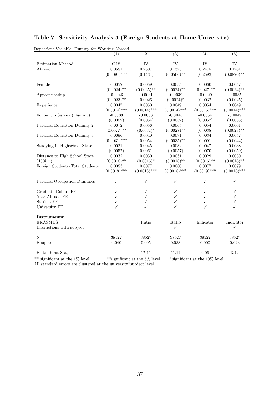| Dependent Variable: Dummy for Working Abroad |                |                  |                  |                  |                  |
|----------------------------------------------|----------------|------------------|------------------|------------------|------------------|
|                                              | (1)            | $\overline{(2)}$ | $\overline{(3)}$ | $\overline{(4)}$ | $\overline{(5)}$ |
| Estimation Method                            | <b>OLS</b>     | IV               | IV               | IV               | IV               |
| Abroad                                       | 0.0581         | 0.2307           | 0.1373           | 0.2475           | 0.1781           |
|                                              | $(0.0091)$ *** | (0.1434)         | $(0.0566)$ **    | (0.2592)         | $(0.0826)$ **    |
| Female                                       | 0.0052         | 0.0059           | 0.0055           | 0.0060           | 0.0057           |
|                                              | $(0.0024)$ **  | $(0.0025)$ **    | $(0.0024)$ **    | $(0.0027)$ **    | $(0.0024)$ **    |
| Apprenticeship                               | $-0.0046$      | $-0.0031$        | $-0.0039$        | $-0.0029$        | $-0.0035$        |
|                                              | $(0.0023)$ **  | (0.0026)         | $(0.0024)$ *     | (0.0032)         | (0.0025)         |
| Experience                                   | 0.0047         | 0.0050           | 0.0049           | 0.0054           | 0.0049           |
|                                              | $(0.0014)$ *** | $(0.0014)$ ***   | $(0.0014)$ ***   | $(0.0015)$ ***   | $(0.0014)$ ***   |
| Follow Up Survey (Dummy)                     | $-0.0039$      | $-0.0053$        | $-0.0045$        | $-0.0054$        | $-0.0049$        |
|                                              | (0.0052)       | (0.0054)         | (0.0052)         | (0.0057)         | (0.0053)         |
| Parental Education Dummy 2                   | 0.0072         | 0.0056           | 0.0065           | 0.0054           | 0.0061           |
|                                              | $(0.0027***$   | $(0.0031)^*$     | $(0.0028)$ **    | (0.0038)         | $(0.0028)$ **    |
| Parental Education Dummy 3                   | 0.0096         | 0.0040           | 0.0071           | 0.0034           | 0.0057           |
|                                              | $(0.0031)$ *** | (0.0054)         | $(0.0035)$ **    | (0.0091)         | (0.0042)         |
| Studying in Highschool State                 | 0.0021         | 0.0045           | 0.0032           | 0.0047           | 0.0038           |
|                                              | (0.0057)       | (0.0061)         | (0.0057)         | (0.0070)         | (0.0059)         |
| Distance to High School State                | 0.0032         | 0.0030           | 0.0031           | 0.0029           | 0.0030           |
| (100km)                                      | $(0.0016)$ **  | $(0.0016)*$      | $(0.0016)$ **    | $(0.0016)$ **    | $(0.0016)$ **    |
| Foreign Students/Total Students              | 0.0083         | 0.0077           | 0.0080           | 0.0077           | 0.0079           |
|                                              | $(0.0018)$ *** | $(0.0018)$ ***   | $(0.0018)$ ***   | $(0.0019)$ ***   | $(0.0018)$ ***   |
| Parental Occupation Dummies                  | ✓              | ✓                | ✓                | ✓                | $\checkmark$     |
| Graduate Cohort FE                           |                |                  |                  |                  |                  |
| Year Abroad FE                               |                |                  |                  |                  |                  |
| Subject FE                                   |                |                  |                  | $\checkmark$     | $\checkmark$     |
| University FE                                |                |                  |                  |                  | $\checkmark$     |
| Instruments:                                 |                |                  |                  |                  |                  |
| <b>ERASMUS</b>                               |                | Ratio            | Ratio            | Indicator        | Indicator        |
| Interactions with subject                    |                |                  | $\checkmark$     |                  | $\checkmark$     |
| N                                            | 38527          | 38527            | 38527            | 38527            | 38527            |
| R-squared                                    | 0.040          | 0.005            | 0.033            | 0.000            | 0.023            |
| F-stat First Stage                           |                | 17.11            | 11.12            | 9.06             | 3.42             |

## Table 7: Sensitivity Analysis 3 (Foreign Students at Home University)

Dependent Variable: Dummy for Working Abroad

\*\*\*significant at the 1% level \*\*\*significant at the 5% level \*\*significant at the 10% level

All standard errors are clustered at the university\*subject level.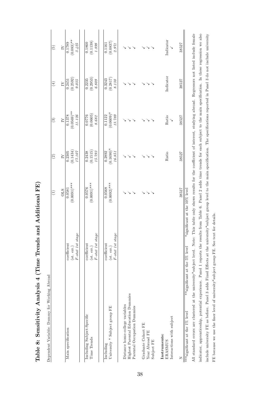| i           |
|-------------|
| ī           |
| ,<br>S<br>۱ |
|             |
|             |
|             |

Table 8: Sensitivity Analysis 4 (Time Trends and Additional FE)

Table 8: Sensitivity Analysis 4 (Time Trends and Additional FE)

| $(0.083)$ **<br>Indicator<br>(0.1138)<br>(0.0837)<br>0.1860<br>0.1789<br>0.1161<br>$3.425\,$<br>$1.898$<br>38527<br>2.971<br>$\geq$<br>Indicator<br>(0.2592)<br>(0.2953)<br>(0.2817)<br>0.2235<br>0.3243<br>$9.035\,$<br>6.809<br>8.130<br>38527<br>0.2451<br>$\overline{N}$<br>$(0.0569)$ **<br>$(0.0609)$ *<br>(0.0605)<br>0.1378<br>11.126<br>0.0776<br>13.789<br>0.1122<br>Ratio<br>8.682<br>38527<br>$\overline{N}$<br>$(0.1690)*$<br>(0.1515)<br>(0.1434)<br>$17.107$<br>0.2438<br>15.793<br>0.2892<br>0.2305<br>16.851<br>Ratio<br>38527<br>$\overline{N}$<br>$(0.0001)$ ***<br>$(0.0091)$ ***<br>$(0.0092)$ ***<br>0.0576<br>0.0568<br>38527<br>0.0581<br>*significant at the 10% level<br><b>OLS</b><br>$F\text{-}stat\  \, 1st\  \, stage$<br>$\label{eq:1} \textit{F-state 1st stage}$<br>$F\text{-}stat\ 1st\ stage$<br>coefficient<br>coefficient<br>coefficient<br>(st. err.)<br>$(\text{st. err.})$<br>**significant at the 5% level<br>$(\text{st. err.})$<br>Highest Parental Education Dummies<br>Distance home-college variables<br>Parental Occupation Dummies<br>University * Subject group FE<br>Including Subject-Specific<br>Interactions with subject<br>Graduate Cohort FE<br>Main specification<br>Year Abroad FE<br>Instruments:<br>Time Trends<br>Subject FE<br>ERASMUS<br>Including<br>Z | Dependent Variable: Dummy for Working Abroad | Ξ | $\widehat{\circ}$ | $\widehat{\mathbf{c}}$ | $\left( \begin{smallmatrix} 4 \ 4 \end{smallmatrix} \right)$ | $\widehat{\mathbf{e}}$ |
|------------------------------------------------------------------------------------------------------------------------------------------------------------------------------------------------------------------------------------------------------------------------------------------------------------------------------------------------------------------------------------------------------------------------------------------------------------------------------------------------------------------------------------------------------------------------------------------------------------------------------------------------------------------------------------------------------------------------------------------------------------------------------------------------------------------------------------------------------------------------------------------------------------------------------------------------------------------------------------------------------------------------------------------------------------------------------------------------------------------------------------------------------------------------------------------------------------------------------------------------------------------------------------------------------------------------|----------------------------------------------|---|-------------------|------------------------|--------------------------------------------------------------|------------------------|
|                                                                                                                                                                                                                                                                                                                                                                                                                                                                                                                                                                                                                                                                                                                                                                                                                                                                                                                                                                                                                                                                                                                                                                                                                                                                                                                        |                                              |   |                   |                        |                                                              |                        |
|                                                                                                                                                                                                                                                                                                                                                                                                                                                                                                                                                                                                                                                                                                                                                                                                                                                                                                                                                                                                                                                                                                                                                                                                                                                                                                                        |                                              |   |                   |                        |                                                              |                        |
|                                                                                                                                                                                                                                                                                                                                                                                                                                                                                                                                                                                                                                                                                                                                                                                                                                                                                                                                                                                                                                                                                                                                                                                                                                                                                                                        |                                              |   |                   |                        |                                                              |                        |
|                                                                                                                                                                                                                                                                                                                                                                                                                                                                                                                                                                                                                                                                                                                                                                                                                                                                                                                                                                                                                                                                                                                                                                                                                                                                                                                        |                                              |   |                   |                        |                                                              |                        |
|                                                                                                                                                                                                                                                                                                                                                                                                                                                                                                                                                                                                                                                                                                                                                                                                                                                                                                                                                                                                                                                                                                                                                                                                                                                                                                                        |                                              |   |                   |                        |                                                              |                        |
|                                                                                                                                                                                                                                                                                                                                                                                                                                                                                                                                                                                                                                                                                                                                                                                                                                                                                                                                                                                                                                                                                                                                                                                                                                                                                                                        |                                              |   |                   |                        |                                                              |                        |
| *** significant at the 1% level                                                                                                                                                                                                                                                                                                                                                                                                                                                                                                                                                                                                                                                                                                                                                                                                                                                                                                                                                                                                                                                                                                                                                                                                                                                                                        |                                              |   |                   |                        |                                                              |                        |
|                                                                                                                                                                                                                                                                                                                                                                                                                                                                                                                                                                                                                                                                                                                                                                                                                                                                                                                                                                                                                                                                                                                                                                                                                                                                                                                        |                                              |   |                   |                        |                                                              |                        |
|                                                                                                                                                                                                                                                                                                                                                                                                                                                                                                                                                                                                                                                                                                                                                                                                                                                                                                                                                                                                                                                                                                                                                                                                                                                                                                                        |                                              |   |                   |                        |                                                              |                        |
|                                                                                                                                                                                                                                                                                                                                                                                                                                                                                                                                                                                                                                                                                                                                                                                                                                                                                                                                                                                                                                                                                                                                                                                                                                                                                                                        |                                              |   |                   |                        |                                                              |                        |
|                                                                                                                                                                                                                                                                                                                                                                                                                                                                                                                                                                                                                                                                                                                                                                                                                                                                                                                                                                                                                                                                                                                                                                                                                                                                                                                        |                                              |   |                   |                        |                                                              |                        |
|                                                                                                                                                                                                                                                                                                                                                                                                                                                                                                                                                                                                                                                                                                                                                                                                                                                                                                                                                                                                                                                                                                                                                                                                                                                                                                                        |                                              |   |                   |                        |                                                              |                        |
|                                                                                                                                                                                                                                                                                                                                                                                                                                                                                                                                                                                                                                                                                                                                                                                                                                                                                                                                                                                                                                                                                                                                                                                                                                                                                                                        |                                              |   |                   |                        |                                                              |                        |
|                                                                                                                                                                                                                                                                                                                                                                                                                                                                                                                                                                                                                                                                                                                                                                                                                                                                                                                                                                                                                                                                                                                                                                                                                                                                                                                        |                                              |   |                   |                        |                                                              |                        |
|                                                                                                                                                                                                                                                                                                                                                                                                                                                                                                                                                                                                                                                                                                                                                                                                                                                                                                                                                                                                                                                                                                                                                                                                                                                                                                                        |                                              |   |                   |                        |                                                              |                        |
|                                                                                                                                                                                                                                                                                                                                                                                                                                                                                                                                                                                                                                                                                                                                                                                                                                                                                                                                                                                                                                                                                                                                                                                                                                                                                                                        |                                              |   |                   |                        |                                                              |                        |
|                                                                                                                                                                                                                                                                                                                                                                                                                                                                                                                                                                                                                                                                                                                                                                                                                                                                                                                                                                                                                                                                                                                                                                                                                                                                                                                        |                                              |   |                   |                        |                                                              |                        |
|                                                                                                                                                                                                                                                                                                                                                                                                                                                                                                                                                                                                                                                                                                                                                                                                                                                                                                                                                                                                                                                                                                                                                                                                                                                                                                                        |                                              |   |                   |                        |                                                              |                        |
|                                                                                                                                                                                                                                                                                                                                                                                                                                                                                                                                                                                                                                                                                                                                                                                                                                                                                                                                                                                                                                                                                                                                                                                                                                                                                                                        |                                              |   |                   |                        |                                                              |                        |
|                                                                                                                                                                                                                                                                                                                                                                                                                                                                                                                                                                                                                                                                                                                                                                                                                                                                                                                                                                                                                                                                                                                                                                                                                                                                                                                        |                                              |   |                   |                        |                                                              |                        |
|                                                                                                                                                                                                                                                                                                                                                                                                                                                                                                                                                                                                                                                                                                                                                                                                                                                                                                                                                                                                                                                                                                                                                                                                                                                                                                                        |                                              |   |                   |                        |                                                              |                        |

indicator, apprenticeship, potential experience. Panel 1 reports the results from Table 6. Panel 2 adds time trends for each subject to the main specification. In these regression we also include university FE as before. Panel 3 adds Fixed Effects at the university\*subject group level to the main specification. The specifications reported in Panel 3 do not include university indicator, apprenticeship, potential experience. Panel 1 reports the results from Table 6. Panel 2 adds time trends for each subject to the main specification. In these regression we also include university FE as before. Panel 3 adds Fixed Effects at the university\*sub ject group level to the main specification. The specifications reported in Panel 3 do not include university FE because we use the finer level of university\*subject group FE. See text for details. FE because we use the Öner level of university\*sub ject group FE. See text for details.